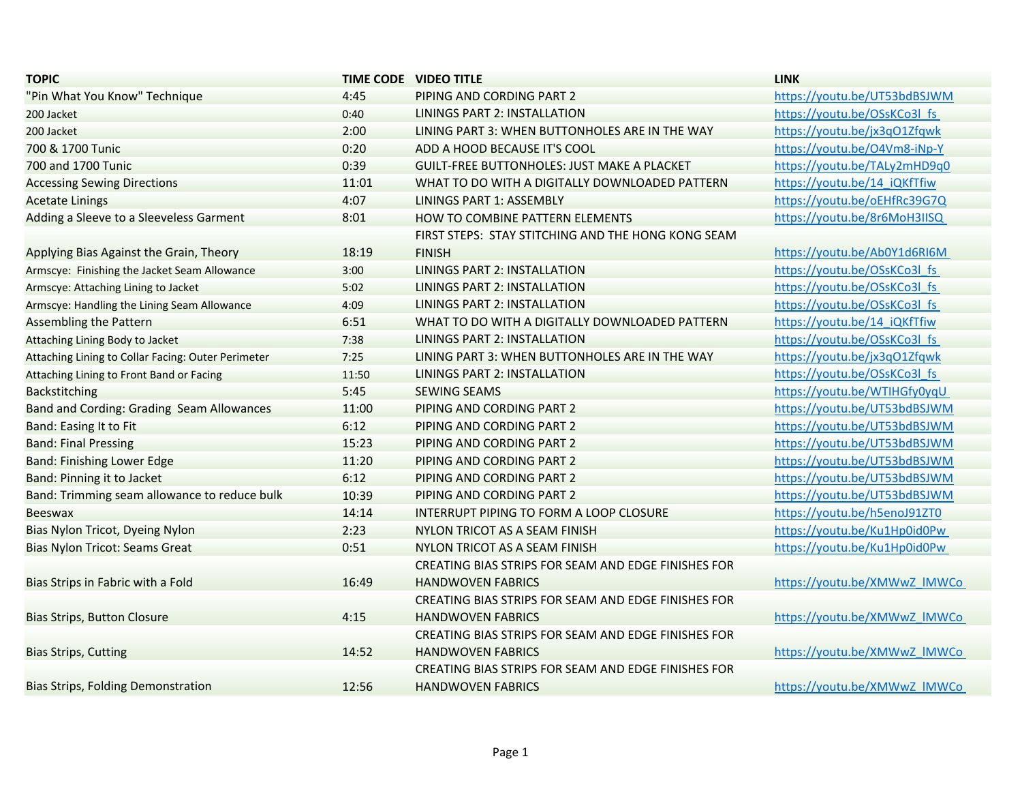| <b>TOPIC</b>                                       |       | <b>TIME CODE VIDEO TITLE</b>                        | <b>LINK</b>                  |
|----------------------------------------------------|-------|-----------------------------------------------------|------------------------------|
| "Pin What You Know" Technique                      | 4:45  | PIPING AND CORDING PART 2                           | https://youtu.be/UT53bdBSJWM |
| 200 Jacket                                         | 0:40  | LININGS PART 2: INSTALLATION                        | https://youtu.be/OSsKCo3l fs |
| 200 Jacket                                         | 2:00  | LINING PART 3: WHEN BUTTONHOLES ARE IN THE WAY      | https://youtu.be/jx3qO1Zfqwk |
| 700 & 1700 Tunic                                   | 0:20  | ADD A HOOD BECAUSE IT'S COOL                        | https://youtu.be/O4Vm8-iNp-Y |
| 700 and 1700 Tunic                                 | 0:39  | <b>GUILT-FREE BUTTONHOLES: JUST MAKE A PLACKET</b>  | https://youtu.be/TALy2mHD9q0 |
| <b>Accessing Sewing Directions</b>                 | 11:01 | WHAT TO DO WITH A DIGITALLY DOWNLOADED PATTERN      | https://youtu.be/14 iQKfTfiw |
| <b>Acetate Linings</b>                             | 4:07  | LININGS PART 1: ASSEMBLY                            | https://youtu.be/oEHfRc39G7Q |
| Adding a Sleeve to a Sleeveless Garment            | 8:01  | HOW TO COMBINE PATTERN ELEMENTS                     | https://youtu.be/8r6MoH3IISQ |
|                                                    |       | FIRST STEPS: STAY STITCHING AND THE HONG KONG SEAM  |                              |
| Applying Bias Against the Grain, Theory            | 18:19 | <b>FINISH</b>                                       | https://youtu.be/Ab0Y1d6RI6M |
| Armscye: Finishing the Jacket Seam Allowance       | 3:00  | LININGS PART 2: INSTALLATION                        | https://youtu.be/OSsKCo3l_fs |
| Armscye: Attaching Lining to Jacket                | 5:02  | LININGS PART 2: INSTALLATION                        | https://youtu.be/OSsKCo3l fs |
| Armscye: Handling the Lining Seam Allowance        | 4:09  | <b>LININGS PART 2: INSTALLATION</b>                 | https://youtu.be/OSsKCo3l fs |
| <b>Assembling the Pattern</b>                      | 6:51  | WHAT TO DO WITH A DIGITALLY DOWNLOADED PATTERN      | https://youtu.be/14 iQKfTfiw |
| Attaching Lining Body to Jacket                    | 7:38  | LININGS PART 2: INSTALLATION                        | https://youtu.be/OSsKCo3l fs |
| Attaching Lining to Collar Facing: Outer Perimeter | 7:25  | LINING PART 3: WHEN BUTTONHOLES ARE IN THE WAY      | https://youtu.be/jx3qO1Zfqwk |
| Attaching Lining to Front Band or Facing           | 11:50 | <b>LININGS PART 2: INSTALLATION</b>                 | https://youtu.be/OSsKCo3l_fs |
| <b>Backstitching</b>                               | 5:45  | <b>SEWING SEAMS</b>                                 | https://youtu.be/WTIHGfy0yqU |
| Band and Cording: Grading Seam Allowances          | 11:00 | PIPING AND CORDING PART 2                           | https://youtu.be/UT53bdBSJWM |
| <b>Band: Easing It to Fit</b>                      | 6:12  | PIPING AND CORDING PART 2                           | https://youtu.be/UT53bdBSJWM |
| <b>Band: Final Pressing</b>                        | 15:23 | PIPING AND CORDING PART 2                           | https://youtu.be/UT53bdBSJWM |
| <b>Band: Finishing Lower Edge</b>                  | 11:20 | PIPING AND CORDING PART 2                           | https://youtu.be/UT53bdBSJWM |
| Band: Pinning it to Jacket                         | 6:12  | PIPING AND CORDING PART 2                           | https://youtu.be/UT53bdBSJWM |
| Band: Trimming seam allowance to reduce bulk       | 10:39 | PIPING AND CORDING PART 2                           | https://youtu.be/UT53bdBSJWM |
| <b>Beeswax</b>                                     | 14:14 | INTERRUPT PIPING TO FORM A LOOP CLOSURE             | https://youtu.be/h5enoJ91ZT0 |
| Bias Nylon Tricot, Dyeing Nylon                    | 2:23  | NYLON TRICOT AS A SEAM FINISH                       | https://youtu.be/Ku1Hp0id0Pw |
| Bias Nylon Tricot: Seams Great                     | 0:51  | NYLON TRICOT AS A SEAM FINISH                       | https://youtu.be/Ku1Hp0id0Pw |
|                                                    |       | CREATING BIAS STRIPS FOR SEAM AND EDGE FINISHES FOR |                              |
| Bias Strips in Fabric with a Fold                  | 16:49 | <b>HANDWOVEN FABRICS</b>                            | https://youtu.be/XMWwZ IMWCo |
|                                                    |       | CREATING BIAS STRIPS FOR SEAM AND EDGE FINISHES FOR |                              |
| <b>Bias Strips, Button Closure</b>                 | 4:15  | <b>HANDWOVEN FABRICS</b>                            | https://youtu.be/XMWwZ IMWCo |
|                                                    |       | CREATING BIAS STRIPS FOR SEAM AND EDGE FINISHES FOR |                              |
| <b>Bias Strips, Cutting</b>                        | 14:52 | <b>HANDWOVEN FABRICS</b>                            | https://youtu.be/XMWwZ IMWCo |
|                                                    |       | CREATING BIAS STRIPS FOR SEAM AND EDGE FINISHES FOR |                              |
| <b>Bias Strips, Folding Demonstration</b>          | 12:56 | <b>HANDWOVEN FABRICS</b>                            | https://youtu.be/XMWwZ IMWCo |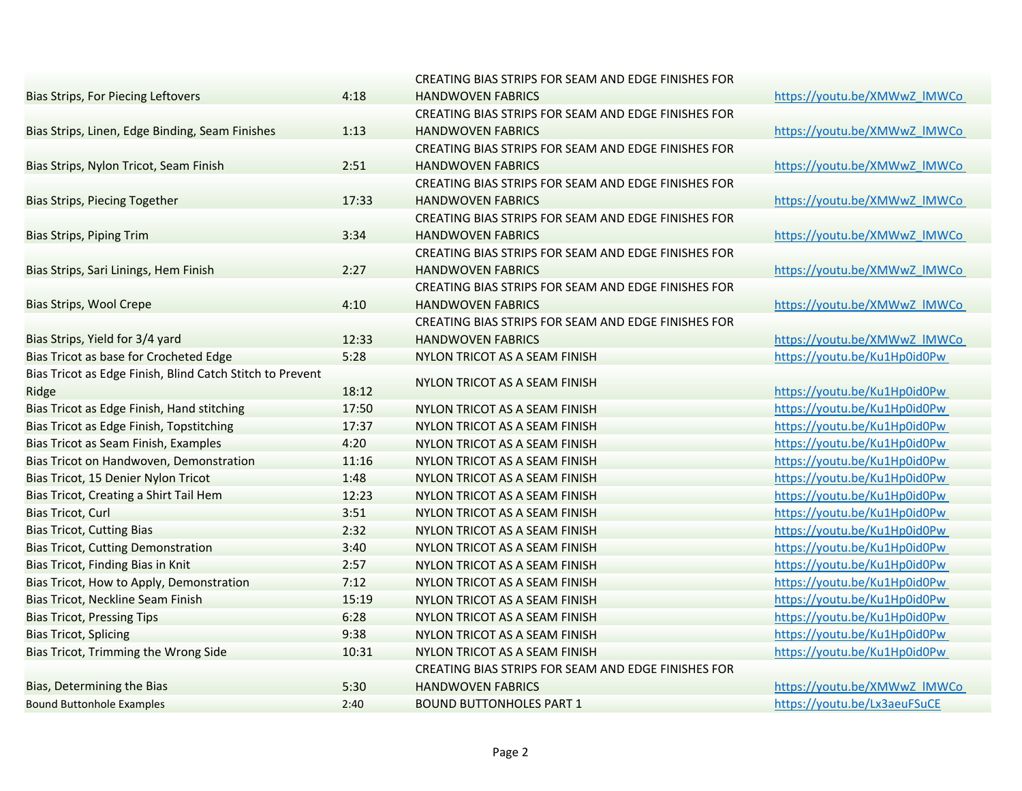|                                                           |       | CREATING BIAS STRIPS FOR SEAM AND EDGE FINISHES FOR |                              |
|-----------------------------------------------------------|-------|-----------------------------------------------------|------------------------------|
| <b>Bias Strips, For Piecing Leftovers</b>                 | 4:18  | <b>HANDWOVEN FABRICS</b>                            | https://youtu.be/XMWwZ IMWCo |
|                                                           |       | CREATING BIAS STRIPS FOR SEAM AND EDGE FINISHES FOR |                              |
| Bias Strips, Linen, Edge Binding, Seam Finishes           | 1:13  | <b>HANDWOVEN FABRICS</b>                            | https://youtu.be/XMWwZ IMWCo |
|                                                           |       | CREATING BIAS STRIPS FOR SEAM AND EDGE FINISHES FOR |                              |
| Bias Strips, Nylon Tricot, Seam Finish                    | 2:51  | <b>HANDWOVEN FABRICS</b>                            | https://youtu.be/XMWwZ_IMWCo |
|                                                           |       | CREATING BIAS STRIPS FOR SEAM AND EDGE FINISHES FOR |                              |
| Bias Strips, Piecing Together                             | 17:33 | <b>HANDWOVEN FABRICS</b>                            | https://youtu.be/XMWwZ IMWCo |
|                                                           |       | CREATING BIAS STRIPS FOR SEAM AND EDGE FINISHES FOR |                              |
| <b>Bias Strips, Piping Trim</b>                           | 3:34  | <b>HANDWOVEN FABRICS</b>                            | https://youtu.be/XMWwZ IMWCo |
|                                                           |       | CREATING BIAS STRIPS FOR SEAM AND EDGE FINISHES FOR |                              |
| Bias Strips, Sari Linings, Hem Finish                     | 2:27  | <b>HANDWOVEN FABRICS</b>                            | https://youtu.be/XMWwZ_IMWCo |
|                                                           |       | CREATING BIAS STRIPS FOR SEAM AND EDGE FINISHES FOR |                              |
| Bias Strips, Wool Crepe                                   | 4:10  | <b>HANDWOVEN FABRICS</b>                            | https://youtu.be/XMWwZ IMWCo |
|                                                           |       | CREATING BIAS STRIPS FOR SEAM AND EDGE FINISHES FOR |                              |
| Bias Strips, Yield for 3/4 yard                           | 12:33 | <b>HANDWOVEN FABRICS</b>                            | https://youtu.be/XMWwZ IMWCo |
| Bias Tricot as base for Crocheted Edge                    | 5:28  | NYLON TRICOT AS A SEAM FINISH                       | https://youtu.be/Ku1Hp0id0Pw |
| Bias Tricot as Edge Finish, Blind Catch Stitch to Prevent |       |                                                     |                              |
| Ridge                                                     | 18:12 | NYLON TRICOT AS A SEAM FINISH                       | https://youtu.be/Ku1Hp0id0Pw |
| Bias Tricot as Edge Finish, Hand stitching                | 17:50 | NYLON TRICOT AS A SEAM FINISH                       | https://youtu.be/Ku1Hp0id0Pw |
| Bias Tricot as Edge Finish, Topstitching                  | 17:37 | NYLON TRICOT AS A SEAM FINISH                       | https://youtu.be/Ku1Hp0id0Pw |
| Bias Tricot as Seam Finish, Examples                      | 4:20  | NYLON TRICOT AS A SEAM FINISH                       | https://youtu.be/Ku1Hp0id0Pw |
| Bias Tricot on Handwoven, Demonstration                   | 11:16 | NYLON TRICOT AS A SEAM FINISH                       | https://youtu.be/Ku1Hp0id0Pw |
| Bias Tricot, 15 Denier Nylon Tricot                       | 1:48  | NYLON TRICOT AS A SEAM FINISH                       | https://youtu.be/Ku1Hp0id0Pw |
| Bias Tricot, Creating a Shirt Tail Hem                    | 12:23 | NYLON TRICOT AS A SEAM FINISH                       | https://youtu.be/Ku1Hp0id0Pw |
| <b>Bias Tricot, Curl</b>                                  | 3:51  | NYLON TRICOT AS A SEAM FINISH                       | https://youtu.be/Ku1Hp0id0Pw |
| <b>Bias Tricot, Cutting Bias</b>                          | 2:32  | NYLON TRICOT AS A SEAM FINISH                       | https://youtu.be/Ku1Hp0id0Pw |
| <b>Bias Tricot, Cutting Demonstration</b>                 | 3:40  | NYLON TRICOT AS A SEAM FINISH                       | https://youtu.be/Ku1Hp0id0Pw |
| Bias Tricot, Finding Bias in Knit                         | 2:57  | NYLON TRICOT AS A SEAM FINISH                       | https://youtu.be/Ku1Hp0id0Pw |
| Bias Tricot, How to Apply, Demonstration                  | 7:12  | NYLON TRICOT AS A SEAM FINISH                       | https://youtu.be/Ku1Hp0id0Pw |
| Bias Tricot, Neckline Seam Finish                         | 15:19 | NYLON TRICOT AS A SEAM FINISH                       | https://youtu.be/Ku1Hp0id0Pw |
| <b>Bias Tricot, Pressing Tips</b>                         | 6:28  | NYLON TRICOT AS A SEAM FINISH                       | https://youtu.be/Ku1Hp0id0Pw |
| <b>Bias Tricot, Splicing</b>                              | 9:38  | NYLON TRICOT AS A SEAM FINISH                       | https://youtu.be/Ku1Hp0id0Pw |
| Bias Tricot, Trimming the Wrong Side                      | 10:31 | NYLON TRICOT AS A SEAM FINISH                       | https://youtu.be/Ku1Hp0id0Pw |
|                                                           |       | CREATING BIAS STRIPS FOR SEAM AND EDGE FINISHES FOR |                              |
| Bias, Determining the Bias                                | 5:30  | <b>HANDWOVEN FABRICS</b>                            | https://youtu.be/XMWwZ IMWCo |
| <b>Bound Buttonhole Examples</b>                          | 2:40  | BOUND BUTTONHOLES PART 1                            | https://youtu.be/Lx3aeuFSuCE |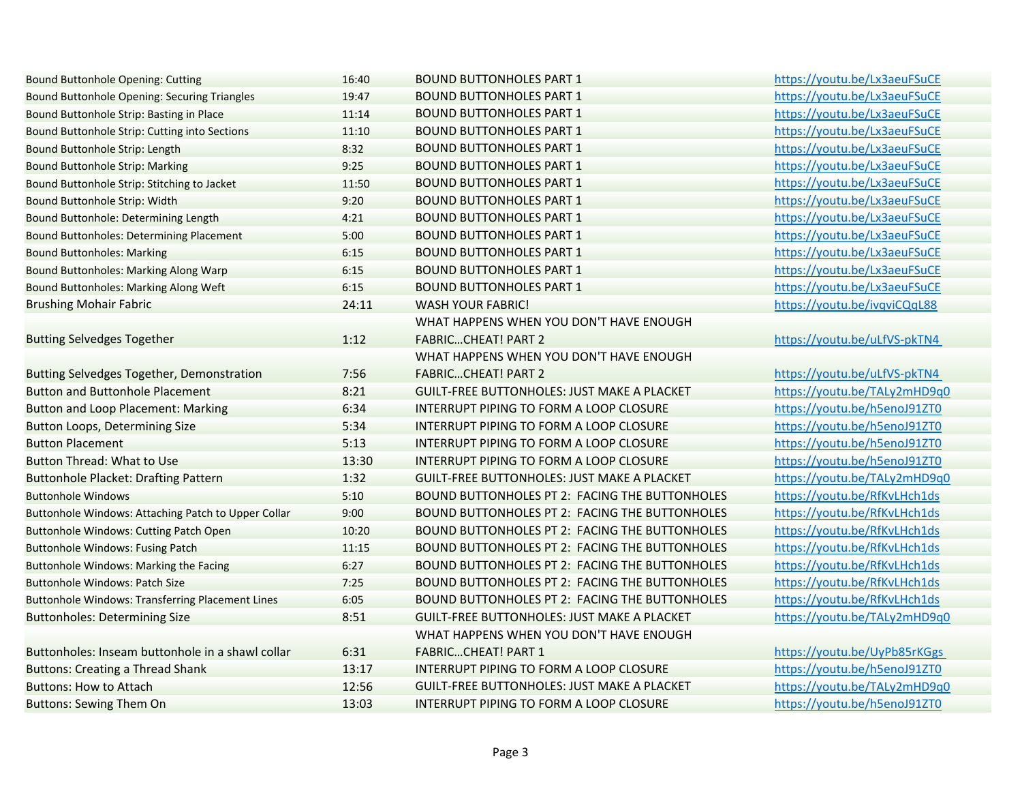| <b>Bound Buttonhole Opening: Cutting</b>                | 16:40 | <b>BOUND BUTTONHOLES PART 1</b>                    | https://youtu.be/Lx3aeuFSuCE |
|---------------------------------------------------------|-------|----------------------------------------------------|------------------------------|
| Bound Buttonhole Opening: Securing Triangles            | 19:47 | <b>BOUND BUTTONHOLES PART 1</b>                    | https://youtu.be/Lx3aeuFSuCE |
| Bound Buttonhole Strip: Basting in Place                | 11:14 | <b>BOUND BUTTONHOLES PART 1</b>                    | https://youtu.be/Lx3aeuFSuCE |
| Bound Buttonhole Strip: Cutting into Sections           | 11:10 | <b>BOUND BUTTONHOLES PART 1</b>                    | https://youtu.be/Lx3aeuFSuCE |
| Bound Buttonhole Strip: Length                          | 8:32  | <b>BOUND BUTTONHOLES PART 1</b>                    | https://youtu.be/Lx3aeuFSuCE |
| <b>Bound Buttonhole Strip: Marking</b>                  | 9:25  | <b>BOUND BUTTONHOLES PART 1</b>                    | https://youtu.be/Lx3aeuFSuCE |
| Bound Buttonhole Strip: Stitching to Jacket             | 11:50 | <b>BOUND BUTTONHOLES PART 1</b>                    | https://youtu.be/Lx3aeuFSuCE |
| Bound Buttonhole Strip: Width                           | 9:20  | <b>BOUND BUTTONHOLES PART 1</b>                    | https://youtu.be/Lx3aeuFSuCE |
| Bound Buttonhole: Determining Length                    | 4:21  | <b>BOUND BUTTONHOLES PART 1</b>                    | https://youtu.be/Lx3aeuFSuCE |
| Bound Buttonholes: Determining Placement                | 5:00  | <b>BOUND BUTTONHOLES PART 1</b>                    | https://youtu.be/Lx3aeuFSuCE |
| <b>Bound Buttonholes: Marking</b>                       | 6:15  | <b>BOUND BUTTONHOLES PART 1</b>                    | https://youtu.be/Lx3aeuFSuCE |
| <b>Bound Buttonholes: Marking Along Warp</b>            | 6:15  | <b>BOUND BUTTONHOLES PART 1</b>                    | https://youtu.be/Lx3aeuFSuCE |
| Bound Buttonholes: Marking Along Weft                   | 6:15  | <b>BOUND BUTTONHOLES PART 1</b>                    | https://youtu.be/Lx3aeuFSuCE |
| <b>Brushing Mohair Fabric</b>                           | 24:11 | <b>WASH YOUR FABRIC!</b>                           | https://youtu.be/ivqviCQqL88 |
|                                                         |       | WHAT HAPPENS WHEN YOU DON'T HAVE ENOUGH            |                              |
| <b>Butting Selvedges Together</b>                       | 1:12  | <b>FABRICCHEAT! PART 2</b>                         | https://youtu.be/uLfVS-pkTN4 |
|                                                         |       | WHAT HAPPENS WHEN YOU DON'T HAVE ENOUGH            |                              |
| Butting Selvedges Together, Demonstration               | 7:56  | <b>FABRICCHEAT! PART 2</b>                         | https://youtu.be/uLfVS-pkTN4 |
| <b>Button and Buttonhole Placement</b>                  | 8:21  | <b>GUILT-FREE BUTTONHOLES: JUST MAKE A PLACKET</b> | https://youtu.be/TALy2mHD9q0 |
| <b>Button and Loop Placement: Marking</b>               | 6:34  | INTERRUPT PIPING TO FORM A LOOP CLOSURE            | https://youtu.be/h5enoJ91ZT0 |
| <b>Button Loops, Determining Size</b>                   | 5:34  | INTERRUPT PIPING TO FORM A LOOP CLOSURE            | https://youtu.be/h5enoJ91ZT0 |
| <b>Button Placement</b>                                 | 5:13  | INTERRUPT PIPING TO FORM A LOOP CLOSURE            | https://youtu.be/h5enoJ91ZT0 |
| <b>Button Thread: What to Use</b>                       | 13:30 | INTERRUPT PIPING TO FORM A LOOP CLOSURE            | https://youtu.be/h5enoJ91ZT0 |
| <b>Buttonhole Placket: Drafting Pattern</b>             | 1:32  | <b>GUILT-FREE BUTTONHOLES: JUST MAKE A PLACKET</b> | https://youtu.be/TALy2mHD9q0 |
| <b>Buttonhole Windows</b>                               | 5:10  | BOUND BUTTONHOLES PT 2: FACING THE BUTTONHOLES     | https://youtu.be/RfKvLHch1ds |
| Buttonhole Windows: Attaching Patch to Upper Collar     | 9:00  | BOUND BUTTONHOLES PT 2: FACING THE BUTTONHOLES     | https://youtu.be/RfKvLHch1ds |
| Buttonhole Windows: Cutting Patch Open                  | 10:20 | BOUND BUTTONHOLES PT 2: FACING THE BUTTONHOLES     | https://youtu.be/RfKvLHch1ds |
| <b>Buttonhole Windows: Fusing Patch</b>                 | 11:15 | BOUND BUTTONHOLES PT 2: FACING THE BUTTONHOLES     | https://youtu.be/RfKvLHch1ds |
| <b>Buttonhole Windows: Marking the Facing</b>           | 6:27  | BOUND BUTTONHOLES PT 2: FACING THE BUTTONHOLES     | https://youtu.be/RfKvLHch1ds |
| <b>Buttonhole Windows: Patch Size</b>                   | 7:25  | BOUND BUTTONHOLES PT 2: FACING THE BUTTONHOLES     | https://youtu.be/RfKvLHch1ds |
| <b>Buttonhole Windows: Transferring Placement Lines</b> | 6:05  | BOUND BUTTONHOLES PT 2: FACING THE BUTTONHOLES     | https://youtu.be/RfKvLHch1ds |
| <b>Buttonholes: Determining Size</b>                    | 8:51  | <b>GUILT-FREE BUTTONHOLES: JUST MAKE A PLACKET</b> | https://youtu.be/TALy2mHD9q0 |
|                                                         |       | WHAT HAPPENS WHEN YOU DON'T HAVE ENOUGH            |                              |
| Buttonholes: Inseam buttonhole in a shawl collar        | 6:31  | <b>FABRICCHEAT! PART 1</b>                         | https://youtu.be/UyPb85rKGgs |
| <b>Buttons: Creating a Thread Shank</b>                 | 13:17 | INTERRUPT PIPING TO FORM A LOOP CLOSURE            | https://youtu.be/h5enoJ91ZT0 |
| <b>Buttons: How to Attach</b>                           | 12:56 | <b>GUILT-FREE BUTTONHOLES: JUST MAKE A PLACKET</b> | https://youtu.be/TALy2mHD9q0 |
| <b>Buttons: Sewing Them On</b>                          | 13:03 | INTERRUPT PIPING TO FORM A LOOP CLOSURE            | https://youtu.be/h5enoJ91ZT0 |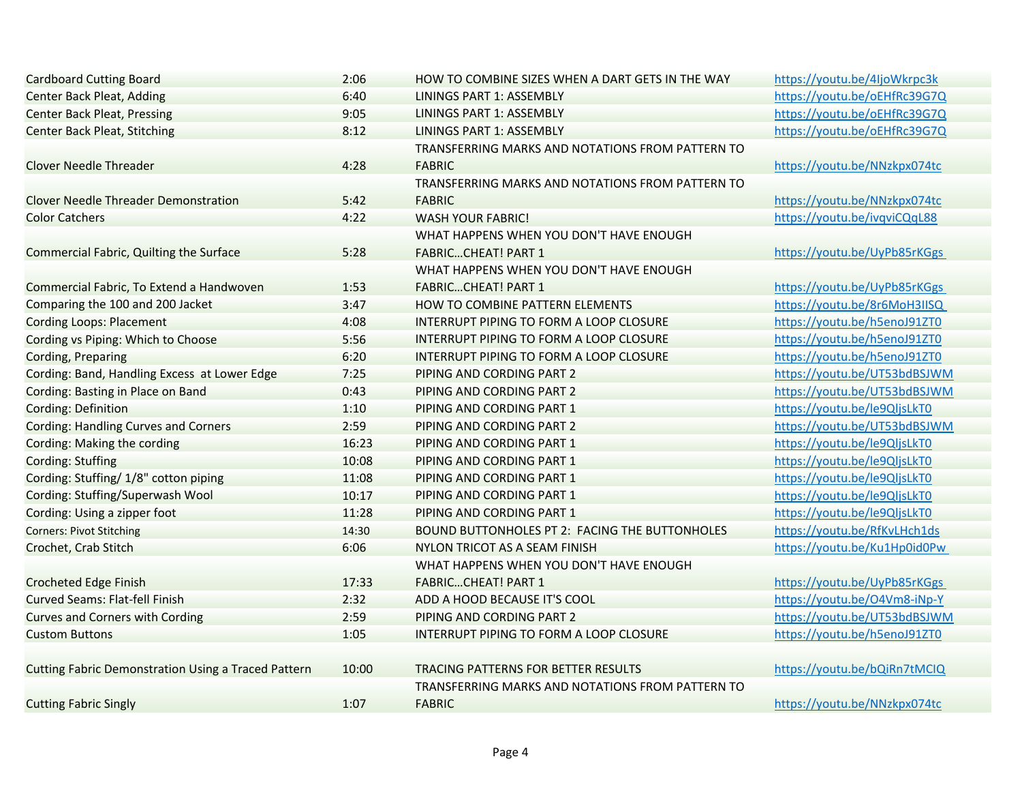| <b>Cardboard Cutting Board</b>                             | 2:06  | HOW TO COMBINE SIZES WHEN A DART GETS IN THE WAY | https://youtu.be/4ljoWkrpc3k |
|------------------------------------------------------------|-------|--------------------------------------------------|------------------------------|
| <b>Center Back Pleat, Adding</b>                           | 6:40  | LININGS PART 1: ASSEMBLY                         | https://youtu.be/oEHfRc39G7Q |
| <b>Center Back Pleat, Pressing</b>                         | 9:05  | LININGS PART 1: ASSEMBLY                         | https://youtu.be/oEHfRc39G7Q |
| <b>Center Back Pleat, Stitching</b>                        | 8:12  | LININGS PART 1: ASSEMBLY                         | https://youtu.be/oEHfRc39G7Q |
|                                                            |       | TRANSFERRING MARKS AND NOTATIONS FROM PATTERN TO |                              |
| Clover Needle Threader                                     | 4:28  | <b>FABRIC</b>                                    | https://youtu.be/NNzkpx074tc |
|                                                            |       | TRANSFERRING MARKS AND NOTATIONS FROM PATTERN TO |                              |
| <b>Clover Needle Threader Demonstration</b>                | 5:42  | <b>FABRIC</b>                                    | https://youtu.be/NNzkpx074tc |
| <b>Color Catchers</b>                                      | 4:22  | <b>WASH YOUR FABRIC!</b>                         | https://youtu.be/ivqviCQqL88 |
|                                                            |       | WHAT HAPPENS WHEN YOU DON'T HAVE ENOUGH          |                              |
| Commercial Fabric, Quilting the Surface                    | 5:28  | <b>FABRICCHEAT! PART 1</b>                       | https://youtu.be/UyPb85rKGgs |
|                                                            |       | WHAT HAPPENS WHEN YOU DON'T HAVE ENOUGH          |                              |
| Commercial Fabric, To Extend a Handwoven                   | 1:53  | <b>FABRICCHEAT! PART 1</b>                       | https://youtu.be/UyPb85rKGgs |
| Comparing the 100 and 200 Jacket                           | 3:47  | HOW TO COMBINE PATTERN ELEMENTS                  | https://youtu.be/8r6MoH3IISQ |
| <b>Cording Loops: Placement</b>                            | 4:08  | INTERRUPT PIPING TO FORM A LOOP CLOSURE          | https://youtu.be/h5enoJ91ZT0 |
| Cording vs Piping: Which to Choose                         | 5:56  | INTERRUPT PIPING TO FORM A LOOP CLOSURE          | https://youtu.be/h5enoJ91ZT0 |
| <b>Cording, Preparing</b>                                  | 6:20  | INTERRUPT PIPING TO FORM A LOOP CLOSURE          | https://youtu.be/h5enoJ91ZT0 |
| Cording: Band, Handling Excess at Lower Edge               | 7:25  | PIPING AND CORDING PART 2                        | https://youtu.be/UT53bdBSJWM |
| Cording: Basting in Place on Band                          | 0:43  | PIPING AND CORDING PART 2                        | https://youtu.be/UT53bdBSJWM |
| <b>Cording: Definition</b>                                 | 1:10  | PIPING AND CORDING PART 1                        | https://youtu.be/le9QljsLkT0 |
| <b>Cording: Handling Curves and Corners</b>                | 2:59  | PIPING AND CORDING PART 2                        | https://youtu.be/UT53bdBSJWM |
| Cording: Making the cording                                | 16:23 | PIPING AND CORDING PART 1                        | https://youtu.be/le9QljsLkT0 |
| <b>Cording: Stuffing</b>                                   | 10:08 | PIPING AND CORDING PART 1                        | https://youtu.be/le9QljsLkT0 |
| Cording: Stuffing/ 1/8" cotton piping                      | 11:08 | PIPING AND CORDING PART 1                        | https://youtu.be/le9QljsLkT0 |
| Cording: Stuffing/Superwash Wool                           | 10:17 | PIPING AND CORDING PART 1                        | https://youtu.be/le9QljsLkT0 |
| Cording: Using a zipper foot                               | 11:28 | PIPING AND CORDING PART 1                        | https://youtu.be/le9QljsLkT0 |
| <b>Corners: Pivot Stitching</b>                            | 14:30 | BOUND BUTTONHOLES PT 2: FACING THE BUTTONHOLES   | https://youtu.be/RfKvLHch1ds |
| Crochet, Crab Stitch                                       | 6:06  | NYLON TRICOT AS A SEAM FINISH                    | https://youtu.be/Ku1Hp0id0Pw |
|                                                            |       | WHAT HAPPENS WHEN YOU DON'T HAVE ENOUGH          |                              |
| <b>Crocheted Edge Finish</b>                               | 17:33 | <b>FABRICCHEAT! PART 1</b>                       | https://youtu.be/UyPb85rKGgs |
| <b>Curved Seams: Flat-fell Finish</b>                      | 2:32  | ADD A HOOD BECAUSE IT'S COOL                     | https://youtu.be/O4Vm8-iNp-Y |
| <b>Curves and Corners with Cording</b>                     | 2:59  | PIPING AND CORDING PART 2                        | https://youtu.be/UT53bdBSJWM |
| <b>Custom Buttons</b>                                      | 1:05  | INTERRUPT PIPING TO FORM A LOOP CLOSURE          | https://youtu.be/h5enoJ91ZT0 |
|                                                            |       |                                                  |                              |
| <b>Cutting Fabric Demonstration Using a Traced Pattern</b> | 10:00 | TRACING PATTERNS FOR BETTER RESULTS              | https://youtu.be/bQiRn7tMCIQ |
|                                                            |       | TRANSFERRING MARKS AND NOTATIONS FROM PATTERN TO |                              |
| <b>Cutting Fabric Singly</b>                               | 1:07  | <b>FABRIC</b>                                    | https://youtu.be/NNzkpx074tc |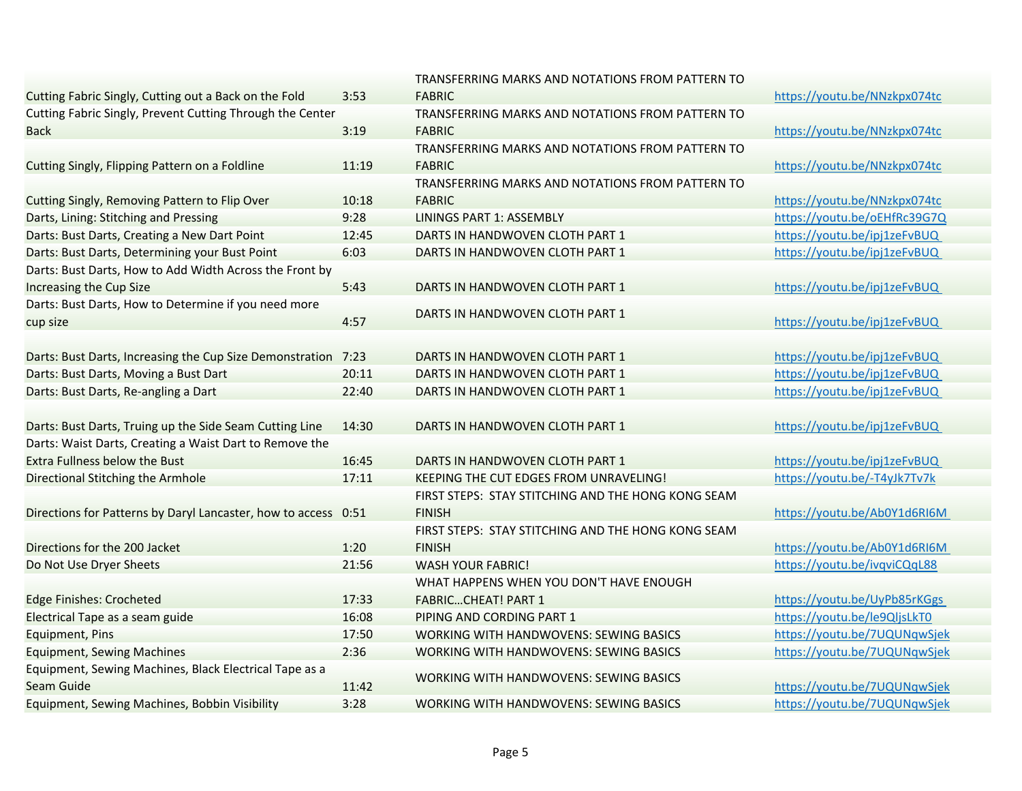|                                                                |       | TRANSFERRING MARKS AND NOTATIONS FROM PATTERN TO   |                              |
|----------------------------------------------------------------|-------|----------------------------------------------------|------------------------------|
| Cutting Fabric Singly, Cutting out a Back on the Fold          | 3:53  | <b>FABRIC</b>                                      | https://youtu.be/NNzkpx074tc |
| Cutting Fabric Singly, Prevent Cutting Through the Center      |       | TRANSFERRING MARKS AND NOTATIONS FROM PATTERN TO   |                              |
| <b>Back</b>                                                    | 3:19  | <b>FABRIC</b>                                      | https://youtu.be/NNzkpx074tc |
|                                                                |       | TRANSFERRING MARKS AND NOTATIONS FROM PATTERN TO   |                              |
| Cutting Singly, Flipping Pattern on a Foldline                 | 11:19 | <b>FABRIC</b>                                      | https://youtu.be/NNzkpx074tc |
|                                                                |       | TRANSFERRING MARKS AND NOTATIONS FROM PATTERN TO   |                              |
| Cutting Singly, Removing Pattern to Flip Over                  | 10:18 | <b>FABRIC</b>                                      | https://youtu.be/NNzkpx074tc |
| Darts, Lining: Stitching and Pressing                          | 9:28  | <b>LININGS PART 1: ASSEMBLY</b>                    | https://youtu.be/oEHfRc39G7Q |
| Darts: Bust Darts, Creating a New Dart Point                   | 12:45 | DARTS IN HANDWOVEN CLOTH PART 1                    | https://youtu.be/ipj1zeFvBUQ |
| Darts: Bust Darts, Determining your Bust Point                 | 6:03  | DARTS IN HANDWOVEN CLOTH PART 1                    | https://youtu.be/ipj1zeFvBUQ |
| Darts: Bust Darts, How to Add Width Across the Front by        |       |                                                    |                              |
| Increasing the Cup Size                                        | 5:43  | DARTS IN HANDWOVEN CLOTH PART 1                    | https://youtu.be/ipj1zeFvBUQ |
| Darts: Bust Darts, How to Determine if you need more           |       |                                                    |                              |
| cup size                                                       | 4:57  | DARTS IN HANDWOVEN CLOTH PART 1                    | https://youtu.be/ipj1zeFvBUQ |
|                                                                |       |                                                    |                              |
| Darts: Bust Darts, Increasing the Cup Size Demonstration 7:23  |       | DARTS IN HANDWOVEN CLOTH PART 1                    | https://youtu.be/ipj1zeFvBUQ |
| Darts: Bust Darts, Moving a Bust Dart                          | 20:11 | DARTS IN HANDWOVEN CLOTH PART 1                    | https://youtu.be/ipj1zeFvBUQ |
| Darts: Bust Darts, Re-angling a Dart                           | 22:40 | DARTS IN HANDWOVEN CLOTH PART 1                    | https://youtu.be/ipj1zeFvBUQ |
|                                                                |       |                                                    |                              |
| Darts: Bust Darts, Truing up the Side Seam Cutting Line        | 14:30 | DARTS IN HANDWOVEN CLOTH PART 1                    | https://youtu.be/ipj1zeFvBUQ |
| Darts: Waist Darts, Creating a Waist Dart to Remove the        |       |                                                    |                              |
| <b>Extra Fullness below the Bust</b>                           | 16:45 | DARTS IN HANDWOVEN CLOTH PART 1                    | https://youtu.be/ipj1zeFvBUQ |
| Directional Stitching the Armhole                              | 17:11 | KEEPING THE CUT EDGES FROM UNRAVELING!             | https://youtu.be/-T4yJk7Tv7k |
|                                                                |       | FIRST STEPS: STAY STITCHING AND THE HONG KONG SEAM |                              |
| Directions for Patterns by Daryl Lancaster, how to access 0:51 |       | <b>FINISH</b>                                      | https://youtu.be/Ab0Y1d6RI6M |
|                                                                |       | FIRST STEPS: STAY STITCHING AND THE HONG KONG SEAM |                              |
| Directions for the 200 Jacket                                  | 1:20  | <b>FINISH</b>                                      | https://youtu.be/Ab0Y1d6RI6M |
| Do Not Use Dryer Sheets                                        | 21:56 | <b>WASH YOUR FABRIC!</b>                           | https://youtu.be/ivqviCQqL88 |
|                                                                |       | WHAT HAPPENS WHEN YOU DON'T HAVE ENOUGH            |                              |
| <b>Edge Finishes: Crocheted</b>                                | 17:33 | <b>FABRICCHEAT! PART 1</b>                         | https://youtu.be/UyPb85rKGgs |
| Electrical Tape as a seam guide                                | 16:08 | PIPING AND CORDING PART 1                          | https://youtu.be/le9QljsLkT0 |
| <b>Equipment, Pins</b>                                         | 17:50 | WORKING WITH HANDWOVENS: SEWING BASICS             | https://youtu.be/7UQUNqwSjek |
| <b>Equipment, Sewing Machines</b>                              | 2:36  | WORKING WITH HANDWOVENS: SEWING BASICS             | https://youtu.be/7UQUNqwSjek |
| Equipment, Sewing Machines, Black Electrical Tape as a         |       |                                                    |                              |
| Seam Guide                                                     | 11:42 | <b>WORKING WITH HANDWOVENS: SEWING BASICS</b>      | https://youtu.be/7UQUNqwSjek |
| Equipment, Sewing Machines, Bobbin Visibility                  | 3:28  | <b>WORKING WITH HANDWOVENS: SEWING BASICS</b>      | https://youtu.be/7UQUNqwSjek |
|                                                                |       |                                                    |                              |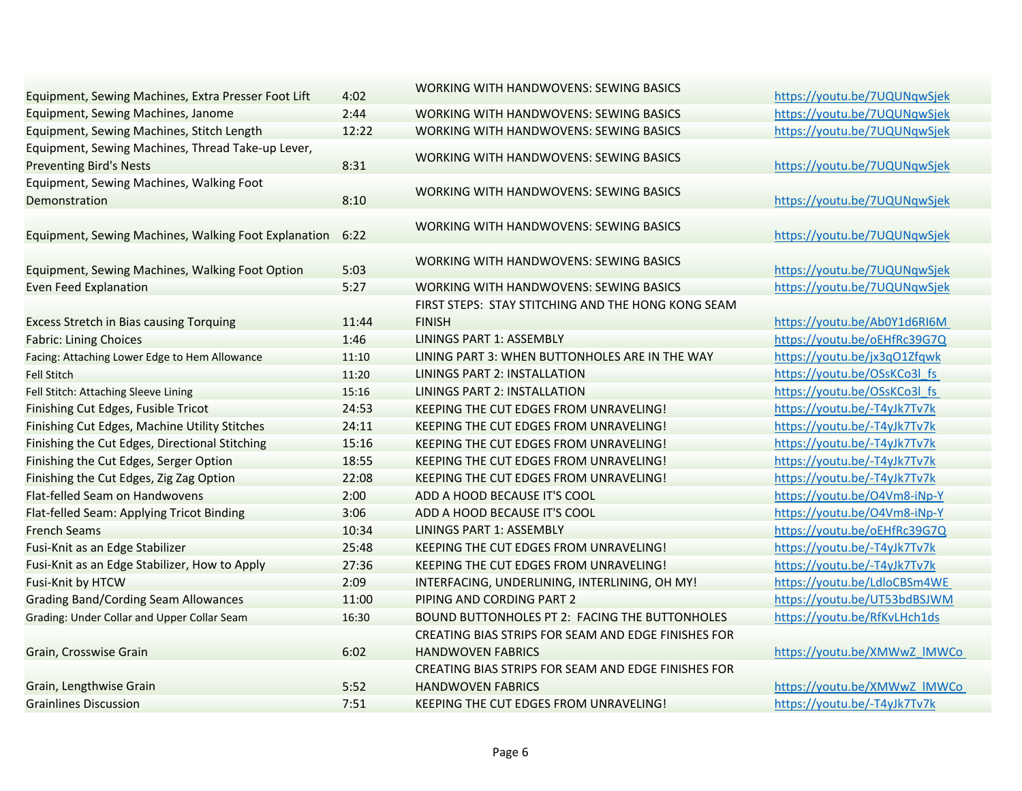|                                                      |       | WORKING WITH           |
|------------------------------------------------------|-------|------------------------|
| Equipment, Sewing Machines, Extra Presser Foot Lift  | 4:02  |                        |
| Equipment, Sewing Machines, Janome                   | 2:44  | <b>WORKING WITH</b>    |
| Equipment, Sewing Machines, Stitch Length            | 12:22 | <b>WORKING WITH</b>    |
| Equipment, Sewing Machines, Thread Take-up Lever,    |       | <b>WORKING WITH</b>    |
| <b>Preventing Bird's Nests</b>                       | 8:31  |                        |
| Equipment, Sewing Machines, Walking Foot             |       | <b>WORKING WITH</b>    |
| Demonstration                                        | 8:10  |                        |
|                                                      |       | <b>WORKING WITH</b>    |
| Equipment, Sewing Machines, Walking Foot Explanation | 6:22  |                        |
|                                                      |       | <b>WORKING WITH</b>    |
| Equipment, Sewing Machines, Walking Foot Option      | 5:03  |                        |
| <b>Even Feed Explanation</b>                         | 5:27  | <b>WORKING WITH</b>    |
|                                                      |       | FIRST STEPS: ST.       |
| <b>Excess Stretch in Bias causing Torquing</b>       | 11:44 | <b>FINISH</b>          |
| <b>Fabric: Lining Choices</b>                        | 1:46  | <b>LININGS PART 1:</b> |
| Facing: Attaching Lower Edge to Hem Allowance        | 11:10 | LINING PART 3: \       |
| <b>Fell Stitch</b>                                   | 11:20 | <b>LININGS PART 2:</b> |
| Fell Stitch: Attaching Sleeve Lining                 | 15:16 | <b>LININGS PART 2:</b> |
| Finishing Cut Edges, Fusible Tricot                  | 24:53 | <b>KEEPING THE CU</b>  |
| Finishing Cut Edges, Machine Utility Stitches        | 24:11 | <b>KEEPING THE CU</b>  |
| Finishing the Cut Edges, Directional Stitching       | 15:16 | <b>KEEPING THE CU</b>  |
| Finishing the Cut Edges, Serger Option               | 18:55 | <b>KEEPING THE CU</b>  |
| Finishing the Cut Edges, Zig Zag Option              | 22:08 | <b>KEEPING THE CU</b>  |
| Flat-felled Seam on Handwovens                       | 2:00  | ADD A HOOD BE          |
| Flat-felled Seam: Applying Tricot Binding            | 3:06  | ADD A HOOD BE          |
| <b>French Seams</b>                                  | 10:34 | <b>LININGS PART 1:</b> |
| Fusi-Knit as an Edge Stabilizer                      | 25:48 | <b>KEEPING THE CU</b>  |
| Fusi-Knit as an Edge Stabilizer, How to Apply        | 27:36 | <b>KEEPING THE CU</b>  |
| Fusi-Knit by HTCW                                    | 2:09  | <b>INTERFACING, U</b>  |
| <b>Grading Band/Cording Seam Allowances</b>          | 11:00 | <b>PIPING AND COF</b>  |
| Grading: Under Collar and Upper Collar Seam          | 16:30 | <b>BOUND BUTTON</b>    |
|                                                      |       | <b>CREATING BIAS !</b> |
| Grain, Crosswise Grain                               | 6:02  | <b>HANDWOVEN F/</b>    |
|                                                      |       | <b>CREATING BIAS</b>   |
| Grain, Lengthwise Grain                              | 5:52  | <b>HANDWOVEN F/</b>    |
| <b>Grainlines Discussion</b>                         | 7:51  | <b>KEEPING THE CU</b>  |
|                                                      |       |                        |

| Equipment, Sewing Machines, Extra Presser Foot Lift  | 4:02  | <b>WORKING WITH HANDWOVENS: SEWING BASICS</b>       | https://youtu.be/7UQUNqwSjek |
|------------------------------------------------------|-------|-----------------------------------------------------|------------------------------|
| Equipment, Sewing Machines, Janome                   | 2:44  | <b>WORKING WITH HANDWOVENS: SEWING BASICS</b>       | https://youtu.be/7UQUNqwSjek |
| Equipment, Sewing Machines, Stitch Length            | 12:22 | <b>WORKING WITH HANDWOVENS: SEWING BASICS</b>       | https://youtu.be/7UQUNqwSjek |
| Equipment, Sewing Machines, Thread Take-up Lever,    |       |                                                     |                              |
| <b>Preventing Bird's Nests</b>                       | 8:31  | <b>WORKING WITH HANDWOVENS: SEWING BASICS</b>       | https://youtu.be/7UQUNqwSjek |
| Equipment, Sewing Machines, Walking Foot             |       | <b>WORKING WITH HANDWOVENS: SEWING BASICS</b>       |                              |
| Demonstration                                        | 8:10  |                                                     | https://youtu.be/7UQUNqwSjek |
|                                                      |       | WORKING WITH HANDWOVENS: SEWING BASICS              |                              |
| Equipment, Sewing Machines, Walking Foot Explanation | 6:22  |                                                     | https://youtu.be/7UQUNqwSjek |
|                                                      |       | WORKING WITH HANDWOVENS: SEWING BASICS              |                              |
| Equipment, Sewing Machines, Walking Foot Option      | 5:03  |                                                     | https://youtu.be/7UQUNqwSjek |
| <b>Even Feed Explanation</b>                         | 5:27  | <b>WORKING WITH HANDWOVENS: SEWING BASICS</b>       | https://youtu.be/7UQUNqwSjek |
|                                                      |       | FIRST STEPS: STAY STITCHING AND THE HONG KONG SEAM  |                              |
| <b>Excess Stretch in Bias causing Torquing</b>       | 11:44 | <b>FINISH</b>                                       | https://youtu.be/Ab0Y1d6RI6M |
| <b>Fabric: Lining Choices</b>                        | 1:46  | <b>LININGS PART 1: ASSEMBLY</b>                     | https://youtu.be/oEHfRc39G7Q |
| Facing: Attaching Lower Edge to Hem Allowance        | 11:10 | LINING PART 3: WHEN BUTTONHOLES ARE IN THE WAY      | https://youtu.be/jx3q01Zfqwk |
| Fell Stitch                                          | 11:20 | <b>LININGS PART 2: INSTALLATION</b>                 | https://youtu.be/OSsKCo3l fs |
| Fell Stitch: Attaching Sleeve Lining                 | 15:16 | <b>LININGS PART 2: INSTALLATION</b>                 | https://youtu.be/OSsKCo3l fs |
| Finishing Cut Edges, Fusible Tricot                  | 24:53 | KEEPING THE CUT EDGES FROM UNRAVELING!              | https://youtu.be/-T4yJk7Tv7k |
| Finishing Cut Edges, Machine Utility Stitches        | 24:11 | KEEPING THE CUT EDGES FROM UNRAVELING!              | https://youtu.be/-T4yJk7Tv7k |
| Finishing the Cut Edges, Directional Stitching       | 15:16 | KEEPING THE CUT EDGES FROM UNRAVELING!              | https://youtu.be/-T4yJk7Tv7k |
| Finishing the Cut Edges, Serger Option               | 18:55 | KEEPING THE CUT EDGES FROM UNRAVELING!              | https://youtu.be/-T4yJk7Tv7k |
| Finishing the Cut Edges, Zig Zag Option              | 22:08 | KEEPING THE CUT EDGES FROM UNRAVELING!              | https://youtu.be/-T4yJk7Tv7k |
| Flat-felled Seam on Handwovens                       | 2:00  | ADD A HOOD BECAUSE IT'S COOL                        | https://youtu.be/O4Vm8-iNp-Y |
| Flat-felled Seam: Applying Tricot Binding            | 3:06  | ADD A HOOD BECAUSE IT'S COOL                        | https://youtu.be/O4Vm8-iNp-Y |
| French Seams                                         | 10:34 | LININGS PART 1: ASSEMBLY                            | https://youtu.be/oEHfRc39G7Q |
| Fusi-Knit as an Edge Stabilizer                      | 25:48 | KEEPING THE CUT EDGES FROM UNRAVELING!              | https://youtu.be/-T4yJk7Tv7k |
| Fusi-Knit as an Edge Stabilizer, How to Apply        | 27:36 | KEEPING THE CUT EDGES FROM UNRAVELING!              | https://youtu.be/-T4yJk7Tv7k |
| Fusi-Knit by HTCW                                    | 2:09  | INTERFACING, UNDERLINING, INTERLINING, OH MY!       | https://youtu.be/LdloCBSm4WE |
| <b>Grading Band/Cording Seam Allowances</b>          | 11:00 | PIPING AND CORDING PART 2                           | https://youtu.be/UT53bdBSJWM |
| Grading: Under Collar and Upper Collar Seam          | 16:30 | BOUND BUTTONHOLES PT 2: FACING THE BUTTONHOLES      | https://youtu.be/RfKvLHch1ds |
|                                                      |       | CREATING BIAS STRIPS FOR SEAM AND EDGE FINISHES FOR |                              |
| Grain, Crosswise Grain                               | 6:02  | <b>HANDWOVEN FABRICS</b>                            | https://youtu.be/XMWwZ IMWCo |
|                                                      |       | CREATING BIAS STRIPS FOR SEAM AND EDGE FINISHES FOR |                              |
| Grain, Lengthwise Grain                              | 5:52  | <b>HANDWOVEN FABRICS</b>                            | https://youtu.be/XMWwZ IMWCo |
| <b>Grainlines Discussion</b>                         | 7:51  | KEEPING THE CUT EDGES FROM UNRAVELING!              | https://youtu.be/-T4yJk7Tv7k |
|                                                      |       |                                                     |                              |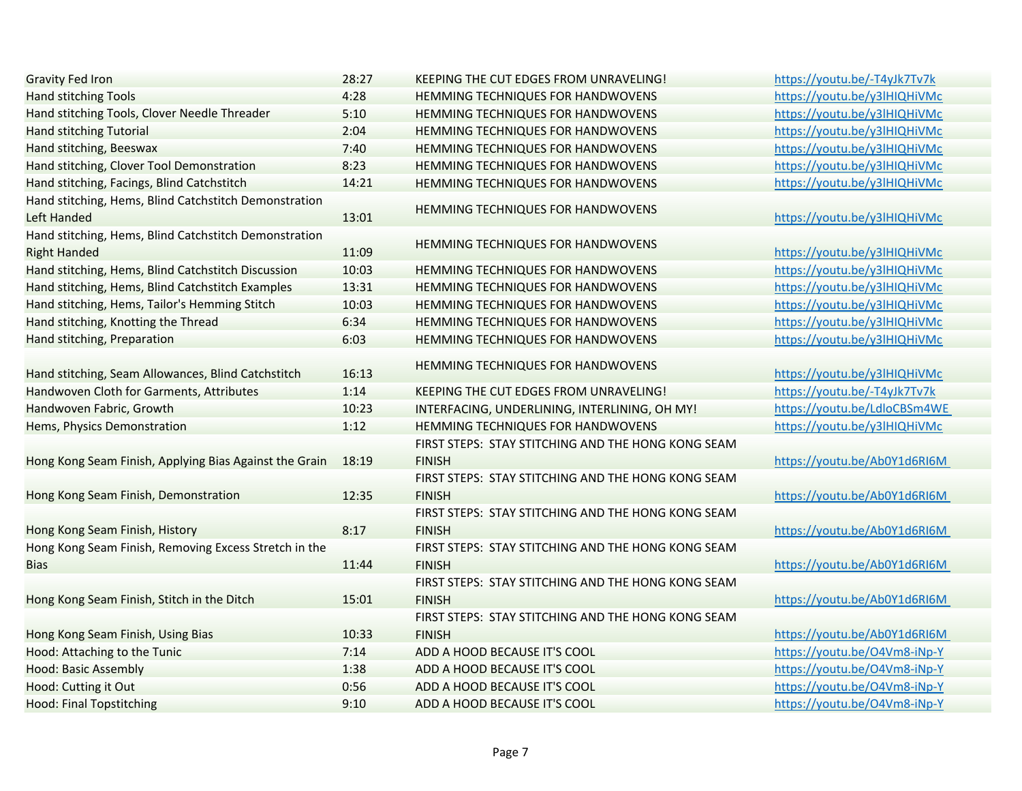| <b>Gravity Fed Iron</b>                                | 28:27 | KEEPING THE CUT EDGES FROM UNRAVELING!             | https://youtu.be/-T4yJk7Tv7k |
|--------------------------------------------------------|-------|----------------------------------------------------|------------------------------|
| <b>Hand stitching Tools</b>                            | 4:28  | HEMMING TECHNIQUES FOR HANDWOVENS                  | https://youtu.be/y3lHIQHiVMc |
| Hand stitching Tools, Clover Needle Threader           | 5:10  | HEMMING TECHNIQUES FOR HANDWOVENS                  | https://youtu.be/y3lHIQHiVMc |
| <b>Hand stitching Tutorial</b>                         | 2:04  | HEMMING TECHNIQUES FOR HANDWOVENS                  | https://youtu.be/y3lHIQHiVMc |
| Hand stitching, Beeswax                                | 7:40  | HEMMING TECHNIQUES FOR HANDWOVENS                  | https://youtu.be/y3lHIQHiVMc |
| Hand stitching, Clover Tool Demonstration              | 8:23  | HEMMING TECHNIQUES FOR HANDWOVENS                  | https://youtu.be/y3lHIQHiVMc |
| Hand stitching, Facings, Blind Catchstitch             | 14:21 | HEMMING TECHNIQUES FOR HANDWOVENS                  | https://youtu.be/y3lHIQHiVMc |
| Hand stitching, Hems, Blind Catchstitch Demonstration  |       |                                                    |                              |
| Left Handed                                            | 13:01 | HEMMING TECHNIQUES FOR HANDWOVENS                  | https://youtu.be/y3lHIQHiVMc |
| Hand stitching, Hems, Blind Catchstitch Demonstration  |       |                                                    |                              |
| <b>Right Handed</b>                                    | 11:09 | HEMMING TECHNIQUES FOR HANDWOVENS                  | https://youtu.be/y3lHIQHiVMc |
| Hand stitching, Hems, Blind Catchstitch Discussion     | 10:03 | HEMMING TECHNIQUES FOR HANDWOVENS                  | https://youtu.be/y3lHIQHiVMc |
| Hand stitching, Hems, Blind Catchstitch Examples       | 13:31 | HEMMING TECHNIQUES FOR HANDWOVENS                  | https://youtu.be/y3lHIQHiVMc |
| Hand stitching, Hems, Tailor's Hemming Stitch          | 10:03 | HEMMING TECHNIQUES FOR HANDWOVENS                  | https://youtu.be/y3lHIQHiVMc |
| Hand stitching, Knotting the Thread                    | 6:34  | HEMMING TECHNIQUES FOR HANDWOVENS                  | https://youtu.be/y3lHIQHiVMc |
| Hand stitching, Preparation                            | 6:03  | HEMMING TECHNIQUES FOR HANDWOVENS                  | https://youtu.be/y3lHIQHiVMc |
|                                                        |       |                                                    |                              |
| Hand stitching, Seam Allowances, Blind Catchstitch     | 16:13 | HEMMING TECHNIQUES FOR HANDWOVENS                  | https://youtu.be/y3lHIQHiVMc |
| Handwoven Cloth for Garments, Attributes               | 1:14  | KEEPING THE CUT EDGES FROM UNRAVELING!             | https://youtu.be/-T4yJk7Tv7k |
| Handwoven Fabric, Growth                               | 10:23 | INTERFACING, UNDERLINING, INTERLINING, OH MY!      | https://youtu.be/LdloCBSm4WE |
| Hems, Physics Demonstration                            | 1:12  | HEMMING TECHNIQUES FOR HANDWOVENS                  | https://youtu.be/y3lHIQHiVMc |
|                                                        |       | FIRST STEPS: STAY STITCHING AND THE HONG KONG SEAM |                              |
| Hong Kong Seam Finish, Applying Bias Against the Grain | 18:19 | <b>FINISH</b>                                      | https://youtu.be/Ab0Y1d6RI6M |
|                                                        |       | FIRST STEPS: STAY STITCHING AND THE HONG KONG SEAM |                              |
| Hong Kong Seam Finish, Demonstration                   | 12:35 | <b>FINISH</b>                                      | https://youtu.be/Ab0Y1d6RI6M |
|                                                        |       | FIRST STEPS: STAY STITCHING AND THE HONG KONG SEAM |                              |
| Hong Kong Seam Finish, History                         | 8:17  | <b>FINISH</b>                                      | https://youtu.be/Ab0Y1d6RI6M |
| Hong Kong Seam Finish, Removing Excess Stretch in the  |       | FIRST STEPS: STAY STITCHING AND THE HONG KONG SEAM |                              |
| <b>Bias</b>                                            | 11:44 | <b>FINISH</b>                                      | https://youtu.be/Ab0Y1d6RI6M |
|                                                        |       | FIRST STEPS: STAY STITCHING AND THE HONG KONG SEAM |                              |
| Hong Kong Seam Finish, Stitch in the Ditch             | 15:01 | <b>FINISH</b>                                      | https://youtu.be/Ab0Y1d6RI6M |
|                                                        |       | FIRST STEPS: STAY STITCHING AND THE HONG KONG SEAM |                              |
| Hong Kong Seam Finish, Using Bias                      | 10:33 | <b>FINISH</b>                                      | https://youtu.be/Ab0Y1d6RI6M |
| Hood: Attaching to the Tunic                           | 7:14  | ADD A HOOD BECAUSE IT'S COOL                       | https://youtu.be/O4Vm8-iNp-Y |
| <b>Hood: Basic Assembly</b>                            | 1:38  | ADD A HOOD BECAUSE IT'S COOL                       | https://youtu.be/O4Vm8-iNp-Y |
| Hood: Cutting it Out                                   | 0:56  | ADD A HOOD BECAUSE IT'S COOL                       | https://youtu.be/O4Vm8-iNp-Y |
| <b>Hood: Final Topstitching</b>                        | 9:10  | ADD A HOOD BECAUSE IT'S COOL                       | https://youtu.be/O4Vm8-iNp-Y |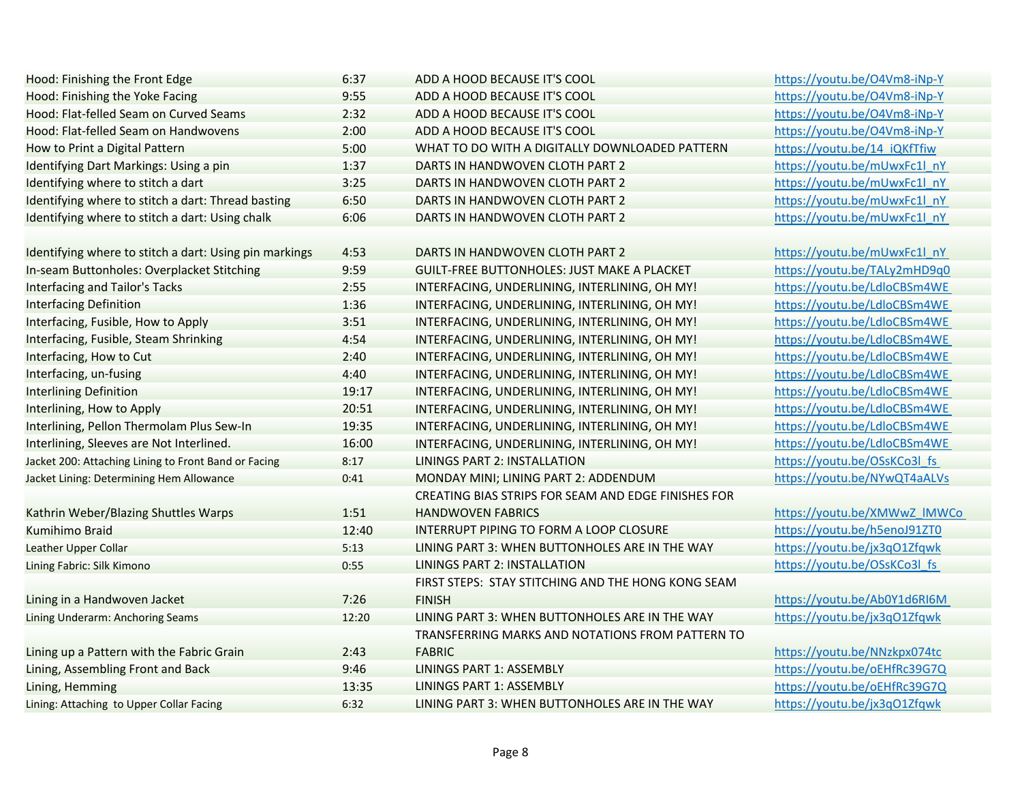| Hood: Finishing the Front Edge                         | 6:37  | ADD A HOOD BECAUSE IT'S COOL                        | https://youtu.be/O4Vm8-iNp-Y |
|--------------------------------------------------------|-------|-----------------------------------------------------|------------------------------|
| Hood: Finishing the Yoke Facing                        | 9:55  | ADD A HOOD BECAUSE IT'S COOL                        | https://youtu.be/O4Vm8-iNp-Y |
| Hood: Flat-felled Seam on Curved Seams                 | 2:32  | ADD A HOOD BECAUSE IT'S COOL                        | https://youtu.be/O4Vm8-iNp-Y |
| Hood: Flat-felled Seam on Handwovens                   | 2:00  | ADD A HOOD BECAUSE IT'S COOL                        | https://youtu.be/O4Vm8-iNp-Y |
| How to Print a Digital Pattern                         | 5:00  | WHAT TO DO WITH A DIGITALLY DOWNLOADED PATTERN      | https://youtu.be/14 iQKfTfiw |
| Identifying Dart Markings: Using a pin                 | 1:37  | DARTS IN HANDWOVEN CLOTH PART 2                     | https://youtu.be/mUwxFc1l nY |
| Identifying where to stitch a dart                     | 3:25  | DARTS IN HANDWOVEN CLOTH PART 2                     | https://youtu.be/mUwxFc1l nY |
| Identifying where to stitch a dart: Thread basting     | 6:50  | DARTS IN HANDWOVEN CLOTH PART 2                     | https://youtu.be/mUwxFc1l nY |
| Identifying where to stitch a dart: Using chalk        | 6:06  | DARTS IN HANDWOVEN CLOTH PART 2                     | https://youtu.be/mUwxFc1l nY |
|                                                        |       |                                                     |                              |
| Identifying where to stitch a dart: Using pin markings | 4:53  | DARTS IN HANDWOVEN CLOTH PART 2                     | https://youtu.be/mUwxFc1l nY |
| In-seam Buttonholes: Overplacket Stitching             | 9:59  | <b>GUILT-FREE BUTTONHOLES: JUST MAKE A PLACKET</b>  | https://youtu.be/TALy2mHD9q0 |
| <b>Interfacing and Tailor's Tacks</b>                  | 2:55  | INTERFACING, UNDERLINING, INTERLINING, OH MY!       | https://youtu.be/LdloCBSm4WE |
| <b>Interfacing Definition</b>                          | 1:36  | INTERFACING, UNDERLINING, INTERLINING, OH MY!       | https://youtu.be/LdloCBSm4WE |
| Interfacing, Fusible, How to Apply                     | 3:51  | INTERFACING, UNDERLINING, INTERLINING, OH MY!       | https://youtu.be/LdloCBSm4WE |
| Interfacing, Fusible, Steam Shrinking                  | 4:54  | INTERFACING, UNDERLINING, INTERLINING, OH MY!       | https://youtu.be/LdloCBSm4WE |
| Interfacing, How to Cut                                | 2:40  | INTERFACING, UNDERLINING, INTERLINING, OH MY!       | https://youtu.be/LdloCBSm4WE |
| Interfacing, un-fusing                                 | 4:40  | INTERFACING, UNDERLINING, INTERLINING, OH MY!       | https://youtu.be/LdloCBSm4WE |
| <b>Interlining Definition</b>                          | 19:17 | INTERFACING, UNDERLINING, INTERLINING, OH MY!       | https://youtu.be/LdloCBSm4WE |
| Interlining, How to Apply                              | 20:51 | INTERFACING, UNDERLINING, INTERLINING, OH MY!       | https://youtu.be/LdloCBSm4WE |
| Interlining, Pellon Thermolam Plus Sew-In              | 19:35 | INTERFACING, UNDERLINING, INTERLINING, OH MY!       | https://youtu.be/LdloCBSm4WE |
| Interlining, Sleeves are Not Interlined.               | 16:00 | INTERFACING, UNDERLINING, INTERLINING, OH MY!       | https://youtu.be/LdloCBSm4WE |
| Jacket 200: Attaching Lining to Front Band or Facing   | 8:17  | <b>LININGS PART 2: INSTALLATION</b>                 | https://youtu.be/OSsKCo3l fs |
| Jacket Lining: Determining Hem Allowance               | 0:41  | MONDAY MINI; LINING PART 2: ADDENDUM                | https://youtu.be/NYwQT4aALVs |
|                                                        |       | CREATING BIAS STRIPS FOR SEAM AND EDGE FINISHES FOR |                              |
| Kathrin Weber/Blazing Shuttles Warps                   | 1:51  | <b>HANDWOVEN FABRICS</b>                            | https://youtu.be/XMWwZ IMWCo |
| Kumihimo Braid                                         | 12:40 | INTERRUPT PIPING TO FORM A LOOP CLOSURE             | https://youtu.be/h5enoJ91ZT0 |
| Leather Upper Collar                                   | 5:13  | LINING PART 3: WHEN BUTTONHOLES ARE IN THE WAY      | https://youtu.be/jx3qO1Zfqwk |
| Lining Fabric: Silk Kimono                             | 0:55  | <b>LININGS PART 2: INSTALLATION</b>                 | https://youtu.be/OSsKCo3l fs |
|                                                        |       | FIRST STEPS: STAY STITCHING AND THE HONG KONG SEAM  |                              |
| Lining in a Handwoven Jacket                           | 7:26  | <b>FINISH</b>                                       | https://youtu.be/Ab0Y1d6RI6M |
| Lining Underarm: Anchoring Seams                       | 12:20 | LINING PART 3: WHEN BUTTONHOLES ARE IN THE WAY      | https://youtu.be/jx3qO1Zfqwk |
|                                                        |       | TRANSFERRING MARKS AND NOTATIONS FROM PATTERN TO    |                              |
| Lining up a Pattern with the Fabric Grain              | 2:43  | <b>FABRIC</b>                                       | https://youtu.be/NNzkpx074tc |
| Lining, Assembling Front and Back                      | 9:46  | LININGS PART 1: ASSEMBLY                            | https://youtu.be/oEHfRc39G7Q |
| Lining, Hemming                                        | 13:35 | <b>LININGS PART 1: ASSEMBLY</b>                     | https://youtu.be/oEHfRc39G7Q |
| Lining: Attaching to Upper Collar Facing               | 6:32  | LINING PART 3: WHEN BUTTONHOLES ARE IN THE WAY      | https://youtu.be/jx3q01Zfqwk |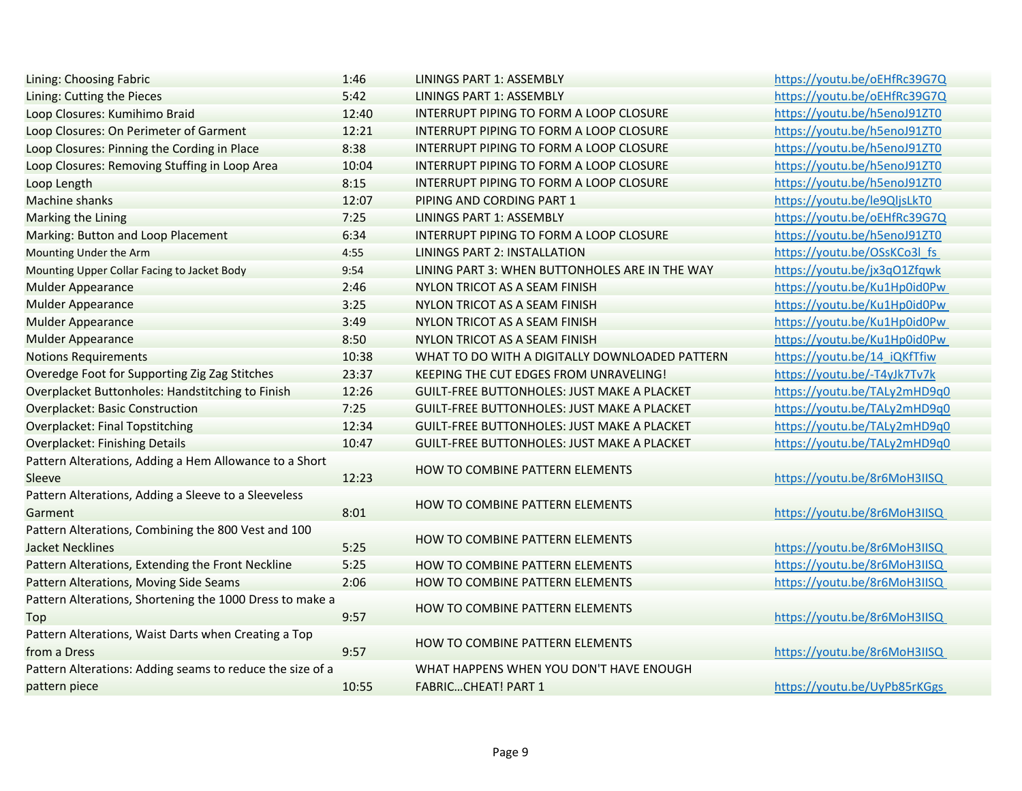| Lining: Choosing Fabric                                                        | 1:46  | <b>LININGS PART 1: ASSEMBLY</b>                    | https://youtu.be/oEHfRc39G7Q |
|--------------------------------------------------------------------------------|-------|----------------------------------------------------|------------------------------|
| Lining: Cutting the Pieces                                                     | 5:42  | <b>LININGS PART 1: ASSEMBLY</b>                    | https://youtu.be/oEHfRc39G7Q |
| Loop Closures: Kumihimo Braid                                                  | 12:40 | INTERRUPT PIPING TO FORM A LOOP CLOSURE            | https://youtu.be/h5enoJ91ZT0 |
| Loop Closures: On Perimeter of Garment                                         | 12:21 | INTERRUPT PIPING TO FORM A LOOP CLOSURE            | https://youtu.be/h5enoJ91ZT0 |
| Loop Closures: Pinning the Cording in Place                                    | 8:38  | INTERRUPT PIPING TO FORM A LOOP CLOSURE            | https://youtu.be/h5enoJ91ZT0 |
| Loop Closures: Removing Stuffing in Loop Area                                  | 10:04 | INTERRUPT PIPING TO FORM A LOOP CLOSURE            | https://youtu.be/h5enoJ91ZT0 |
| Loop Length                                                                    | 8:15  | INTERRUPT PIPING TO FORM A LOOP CLOSURE            | https://youtu.be/h5enoJ91ZT0 |
| <b>Machine shanks</b>                                                          | 12:07 | PIPING AND CORDING PART 1                          | https://youtu.be/le9QljsLkT0 |
| <b>Marking the Lining</b>                                                      | 7:25  | <b>LININGS PART 1: ASSEMBLY</b>                    | https://youtu.be/oEHfRc39G7Q |
| Marking: Button and Loop Placement                                             | 6:34  | INTERRUPT PIPING TO FORM A LOOP CLOSURE            | https://youtu.be/h5enoJ91ZT0 |
| Mounting Under the Arm                                                         | 4:55  | <b>LININGS PART 2: INSTALLATION</b>                | https://youtu.be/OSsKCo3l fs |
| Mounting Upper Collar Facing to Jacket Body                                    | 9:54  | LINING PART 3: WHEN BUTTONHOLES ARE IN THE WAY     | https://youtu.be/jx3qO1Zfqwk |
| <b>Mulder Appearance</b>                                                       | 2:46  | NYLON TRICOT AS A SEAM FINISH                      | https://youtu.be/Ku1Hp0id0Pw |
| <b>Mulder Appearance</b>                                                       | 3:25  | NYLON TRICOT AS A SEAM FINISH                      | https://youtu.be/Ku1Hp0id0Pw |
| <b>Mulder Appearance</b>                                                       | 3:49  | NYLON TRICOT AS A SEAM FINISH                      | https://youtu.be/Ku1Hp0id0Pw |
| <b>Mulder Appearance</b>                                                       | 8:50  | NYLON TRICOT AS A SEAM FINISH                      | https://youtu.be/Ku1Hp0id0Pw |
| <b>Notions Requirements</b>                                                    | 10:38 | WHAT TO DO WITH A DIGITALLY DOWNLOADED PATTERN     | https://youtu.be/14 iQKfTfiw |
| Overedge Foot for Supporting Zig Zag Stitches                                  | 23:37 | KEEPING THE CUT EDGES FROM UNRAVELING!             | https://youtu.be/-T4yJk7Tv7k |
| Overplacket Buttonholes: Handstitching to Finish                               | 12:26 | <b>GUILT-FREE BUTTONHOLES: JUST MAKE A PLACKET</b> | https://youtu.be/TALy2mHD9q0 |
| <b>Overplacket: Basic Construction</b>                                         | 7:25  | <b>GUILT-FREE BUTTONHOLES: JUST MAKE A PLACKET</b> | https://youtu.be/TALy2mHD9q0 |
| <b>Overplacket: Final Topstitching</b>                                         | 12:34 | <b>GUILT-FREE BUTTONHOLES: JUST MAKE A PLACKET</b> | https://youtu.be/TALy2mHD9q0 |
| <b>Overplacket: Finishing Details</b>                                          | 10:47 | <b>GUILT-FREE BUTTONHOLES: JUST MAKE A PLACKET</b> | https://youtu.be/TALy2mHD9q0 |
| Pattern Alterations, Adding a Hem Allowance to a Short<br>Sleeve               | 12:23 | HOW TO COMBINE PATTERN ELEMENTS                    | https://youtu.be/8r6MoH3IISQ |
| Pattern Alterations, Adding a Sleeve to a Sleeveless<br>Garment                | 8:01  | HOW TO COMBINE PATTERN ELEMENTS                    | https://youtu.be/8r6MoH3IISQ |
| Pattern Alterations, Combining the 800 Vest and 100<br><b>Jacket Necklines</b> | 5:25  | HOW TO COMBINE PATTERN ELEMENTS                    | https://youtu.be/8r6MoH3IISQ |
| Pattern Alterations, Extending the Front Neckline                              | 5:25  | HOW TO COMBINE PATTERN ELEMENTS                    | https://youtu.be/8r6MoH3IISQ |
| Pattern Alterations, Moving Side Seams                                         | 2:06  | <b>HOW TO COMBINE PATTERN ELEMENTS</b>             | https://youtu.be/8r6MoH3IISQ |
| Pattern Alterations, Shortening the 1000 Dress to make a<br>Top                | 9:57  | HOW TO COMBINE PATTERN ELEMENTS                    | https://youtu.be/8r6MoH3IISQ |
| Pattern Alterations, Waist Darts when Creating a Top<br>from a Dress           | 9:57  | <b>HOW TO COMBINE PATTERN ELEMENTS</b>             | https://youtu.be/8r6MoH3IISQ |
| Pattern Alterations: Adding seams to reduce the size of a                      |       | WHAT HAPPENS WHEN YOU DON'T HAVE ENOUGH            |                              |
| pattern piece                                                                  | 10:55 | <b>FABRICCHEAT! PART 1</b>                         | https://youtu.be/UyPb85rKGgs |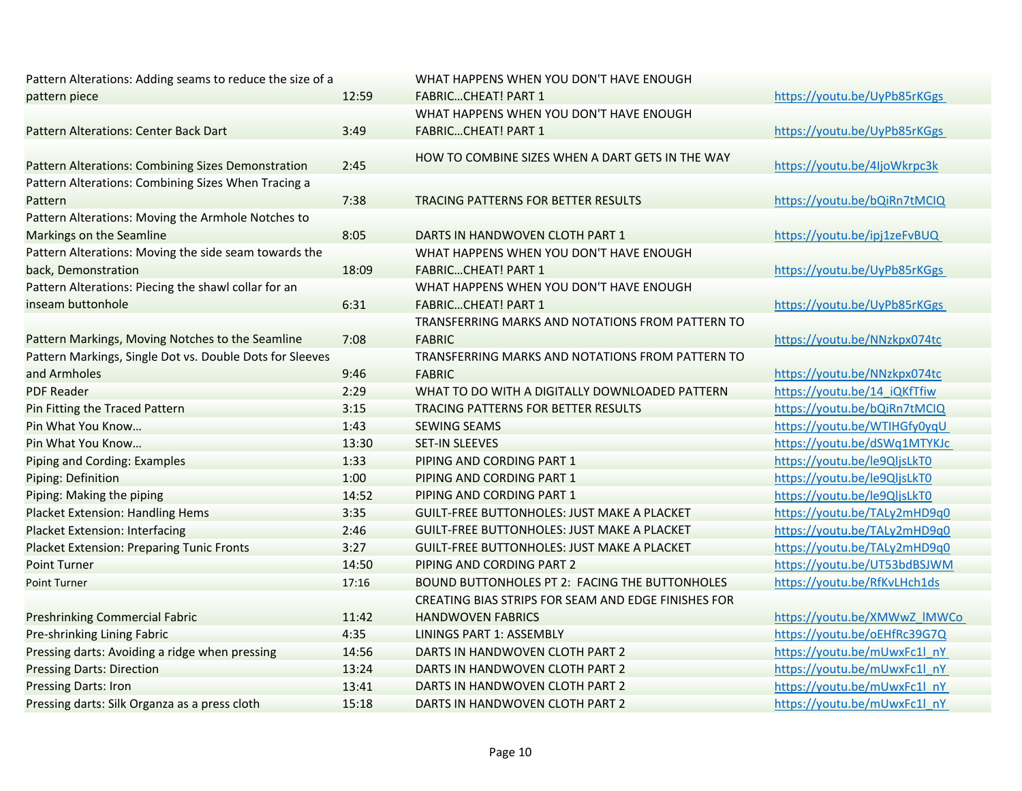| Pattern Alterations: Adding seams to reduce the size of a |       | WHAT HAPPENS WHEN YOU DON'T HAVE ENOUGH             |
|-----------------------------------------------------------|-------|-----------------------------------------------------|
| pattern piece                                             | 12:59 | <b>FABRICCHEAT! PART 1</b>                          |
|                                                           |       | WHAT HAPPENS WHEN YOU DON'T HAVE ENOUGH             |
| Pattern Alterations: Center Back Dart                     | 3:49  | <b>FABRICCHEAT! PART 1</b>                          |
| Pattern Alterations: Combining Sizes Demonstration        | 2:45  | HOW TO COMBINE SIZES WHEN A DART GETS IN THE WAY    |
| Pattern Alterations: Combining Sizes When Tracing a       |       |                                                     |
| Pattern                                                   | 7:38  | TRACING PATTERNS FOR BETTER RESULTS                 |
| Pattern Alterations: Moving the Armhole Notches to        |       |                                                     |
| Markings on the Seamline                                  | 8:05  | DARTS IN HANDWOVEN CLOTH PART 1                     |
| Pattern Alterations: Moving the side seam towards the     |       | WHAT HAPPENS WHEN YOU DON'T HAVE ENOUGH             |
| back, Demonstration                                       | 18:09 | <b>FABRICCHEAT! PART 1</b>                          |
| Pattern Alterations: Piecing the shawl collar for an      |       | WHAT HAPPENS WHEN YOU DON'T HAVE ENOUGH             |
| inseam buttonhole                                         | 6:31  | <b>FABRICCHEAT! PART 1</b>                          |
|                                                           |       | TRANSFERRING MARKS AND NOTATIONS FROM PATTERN TO    |
| Pattern Markings, Moving Notches to the Seamline          | 7:08  | <b>FABRIC</b>                                       |
| Pattern Markings, Single Dot vs. Double Dots for Sleeves  |       | TRANSFERRING MARKS AND NOTATIONS FROM PATTERN TO    |
| and Armholes                                              | 9:46  | <b>FABRIC</b>                                       |
| <b>PDF Reader</b>                                         | 2:29  | WHAT TO DO WITH A DIGITALLY DOWNLOADED PATTERN      |
| Pin Fitting the Traced Pattern                            | 3:15  | TRACING PATTERNS FOR BETTER RESULTS                 |
| Pin What You Know                                         | 1:43  | <b>SEWING SEAMS</b>                                 |
| Pin What You Know                                         | 13:30 | <b>SET-IN SLEEVES</b>                               |
| Piping and Cording: Examples                              | 1:33  | PIPING AND CORDING PART 1                           |
| Piping: Definition                                        | 1:00  | PIPING AND CORDING PART 1                           |
| Piping: Making the piping                                 | 14:52 | PIPING AND CORDING PART 1                           |
| <b>Placket Extension: Handling Hems</b>                   | 3:35  | <b>GUILT-FREE BUTTONHOLES: JUST MAKE A PLACKET</b>  |
| <b>Placket Extension: Interfacing</b>                     | 2:46  | <b>GUILT-FREE BUTTONHOLES: JUST MAKE A PLACKET</b>  |
| <b>Placket Extension: Preparing Tunic Fronts</b>          | 3:27  | <b>GUILT-FREE BUTTONHOLES: JUST MAKE A PLACKET</b>  |
| <b>Point Turner</b>                                       | 14:50 | PIPING AND CORDING PART 2                           |
| <b>Point Turner</b>                                       | 17:16 | BOUND BUTTONHOLES PT 2: FACING THE BUTTONHOLES      |
|                                                           |       | CREATING BIAS STRIPS FOR SEAM AND EDGE FINISHES FOR |
| <b>Preshrinking Commercial Fabric</b>                     | 11:42 | <b>HANDWOVEN FABRICS</b>                            |
| Pre-shrinking Lining Fabric                               | 4:35  | <b>LININGS PART 1: ASSEMBLY</b>                     |
| Pressing darts: Avoiding a ridge when pressing            | 14:56 | DARTS IN HANDWOVEN CLOTH PART 2                     |
| <b>Pressing Darts: Direction</b>                          | 13:24 | DARTS IN HANDWOVEN CLOTH PART 2                     |
| <b>Pressing Darts: Iron</b>                               | 13:41 | DARTS IN HANDWOVEN CLOTH PART 2                     |
| Pressing darts: Silk Organza as a press cloth             | 15:18 | DARTS IN HANDWOVEN CLOTH PART 2                     |

 https://youtu.be/UyPb85rKGgs https://youtu.be/UyPb85rKGgs HE WAY https://youtu.be/4IjoWkrpc3k https://youtu.be/bQiRn7tMCIQ https://youtu.be/ipj1zeFvBUQ https://youtu.be/UyPb85rKGgs https://youtu.be/UyPb85rKGgs https://youtu.be/NNzkpx074tc https://youtu.be/NNzkpx074tc https://youtu.be/14\_iQKfTfiw https://youtu.be/bQiRn7tMCIQ https://youtu.be/WTIHGfy0yqU https://youtu.be/dSWq1MTYKJc https://youtu.be/le9QljsLkT0 https://youtu.be/le9QljsLkT0 https://youtu.be/le9QljsLkT0 https://youtu.be/TALy2mHD9q0 https://youtu.be/TALy2mHD9q0 https://youtu.be/TALy2mHD9q0 https://youtu.be/UT53bdBSJWM NHOLES https://youtu.be/RfKvLHch1ds https://youtu.be/XMWwZ\_lMWCo https://youtu.be/oEHfRc39G7Q https://youtu.be/mUwxFc1l\_nY

> https://youtu.be/mUwxFc1l\_nY https://youtu.be/mUwxFc1l\_nY https://youtu.be/mUwxFc1l\_nY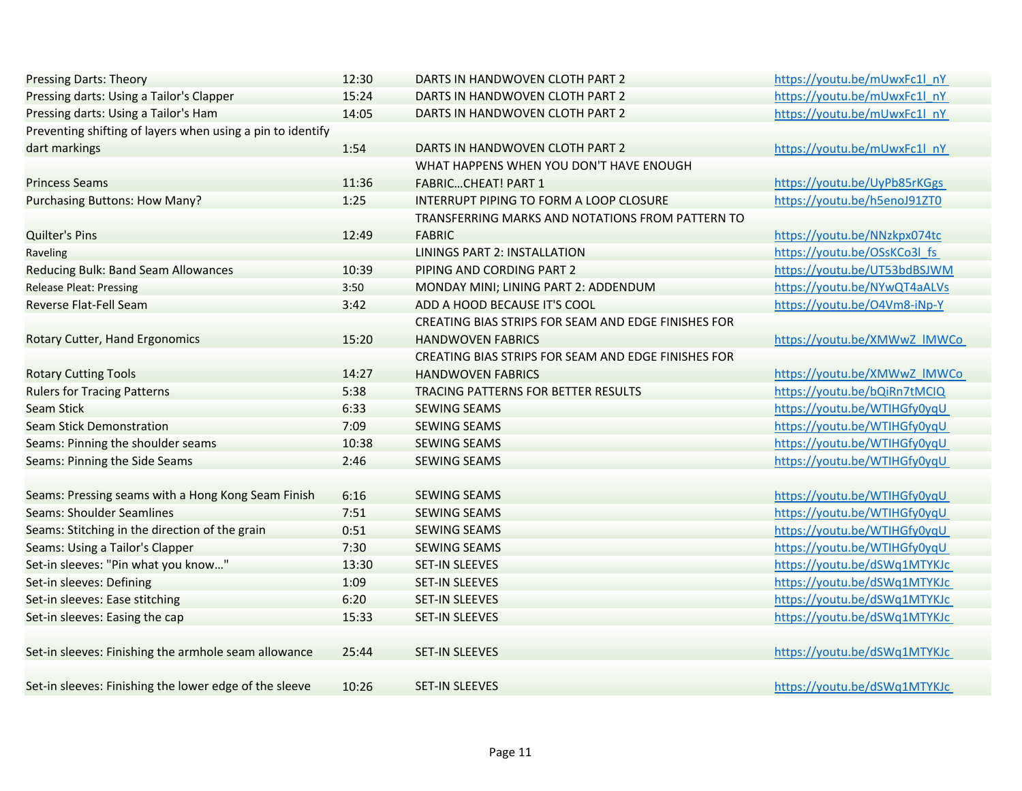| <b>Pressing Darts: Theory</b>                              | 12:30 | DARTS IN HANDWOVEN CLOTH PART 2                     | https://youtu.be/mUwxFc1l nY |
|------------------------------------------------------------|-------|-----------------------------------------------------|------------------------------|
| Pressing darts: Using a Tailor's Clapper                   | 15:24 | DARTS IN HANDWOVEN CLOTH PART 2                     | https://youtu.be/mUwxFc1l nY |
| Pressing darts: Using a Tailor's Ham                       | 14:05 | DARTS IN HANDWOVEN CLOTH PART 2                     | https://youtu.be/mUwxFc1l nY |
| Preventing shifting of layers when using a pin to identify |       |                                                     |                              |
| dart markings                                              | 1:54  | DARTS IN HANDWOVEN CLOTH PART 2                     | https://youtu.be/mUwxFc1l nY |
|                                                            |       | WHAT HAPPENS WHEN YOU DON'T HAVE ENOUGH             |                              |
| <b>Princess Seams</b>                                      | 11:36 | <b>FABRICCHEAT! PART 1</b>                          | https://youtu.be/UyPb85rKGgs |
| Purchasing Buttons: How Many?                              | 1:25  | INTERRUPT PIPING TO FORM A LOOP CLOSURE             | https://youtu.be/h5enoJ91ZT0 |
|                                                            |       | TRANSFERRING MARKS AND NOTATIONS FROM PATTERN TO    |                              |
| <b>Quilter's Pins</b>                                      | 12:49 | <b>FABRIC</b>                                       | https://youtu.be/NNzkpx074tc |
| Raveling                                                   |       | <b>LININGS PART 2: INSTALLATION</b>                 | https://youtu.be/OSsKCo3l fs |
| Reducing Bulk: Band Seam Allowances                        | 10:39 | PIPING AND CORDING PART 2                           | https://youtu.be/UT53bdBSJWM |
| <b>Release Pleat: Pressing</b>                             | 3:50  | MONDAY MINI; LINING PART 2: ADDENDUM                | https://youtu.be/NYwQT4aALVs |
| Reverse Flat-Fell Seam                                     | 3:42  | ADD A HOOD BECAUSE IT'S COOL                        | https://youtu.be/O4Vm8-iNp-Y |
|                                                            |       | CREATING BIAS STRIPS FOR SEAM AND EDGE FINISHES FOR |                              |
| Rotary Cutter, Hand Ergonomics                             | 15:20 | <b>HANDWOVEN FABRICS</b>                            | https://youtu.be/XMWwZ IMWCo |
|                                                            |       | CREATING BIAS STRIPS FOR SEAM AND EDGE FINISHES FOR |                              |
| <b>Rotary Cutting Tools</b>                                | 14:27 | <b>HANDWOVEN FABRICS</b>                            | https://youtu.be/XMWwZ_IMWCo |
| <b>Rulers for Tracing Patterns</b>                         | 5:38  | TRACING PATTERNS FOR BETTER RESULTS                 | https://youtu.be/bQiRn7tMCIQ |
| <b>Seam Stick</b>                                          | 6:33  | <b>SEWING SEAMS</b>                                 | https://youtu.be/WTIHGfy0yqU |
| <b>Seam Stick Demonstration</b>                            | 7:09  | <b>SEWING SEAMS</b>                                 | https://youtu.be/WTIHGfy0yqU |
| Seams: Pinning the shoulder seams                          | 10:38 | <b>SEWING SEAMS</b>                                 | https://youtu.be/WTIHGfy0yqU |
| Seams: Pinning the Side Seams                              | 2:46  | <b>SEWING SEAMS</b>                                 | https://youtu.be/WTIHGfy0yqU |
|                                                            |       |                                                     |                              |
| Seams: Pressing seams with a Hong Kong Seam Finish         | 6:16  | <b>SEWING SEAMS</b>                                 | https://youtu.be/WTIHGfy0yqU |
| <b>Seams: Shoulder Seamlines</b>                           | 7:51  | <b>SEWING SEAMS</b>                                 | https://youtu.be/WTIHGfy0yqU |
| Seams: Stitching in the direction of the grain             | 0:51  | <b>SEWING SEAMS</b>                                 | https://youtu.be/WTIHGfy0yqU |
| Seams: Using a Tailor's Clapper                            | 7:30  | <b>SEWING SEAMS</b>                                 | https://youtu.be/WTIHGfy0yqU |
| Set-in sleeves: "Pin what you know"                        | 13:30 | SET-IN SLEEVES                                      | https://youtu.be/dSWq1MTYKJc |
| Set-in sleeves: Defining                                   | 1:09  | <b>SET-IN SLEEVES</b>                               | https://youtu.be/dSWq1MTYKJc |
| Set-in sleeves: Ease stitching                             | 6:20  | <b>SET-IN SLEEVES</b>                               | https://youtu.be/dSWq1MTYKJc |
| Set-in sleeves: Easing the cap                             | 15:33 | <b>SET-IN SLEEVES</b>                               | https://youtu.be/dSWq1MTYKJc |
|                                                            |       |                                                     |                              |
| Set-in sleeves: Finishing the armhole seam allowance       | 25:44 | <b>SET-IN SLEEVES</b>                               | https://youtu.be/dSWq1MTYKJc |
|                                                            |       |                                                     |                              |
| Set-in sleeves: Finishing the lower edge of the sleeve     | 10:26 | <b>SET-IN SLEEVES</b>                               | https://youtu.be/dSWq1MTYKJc |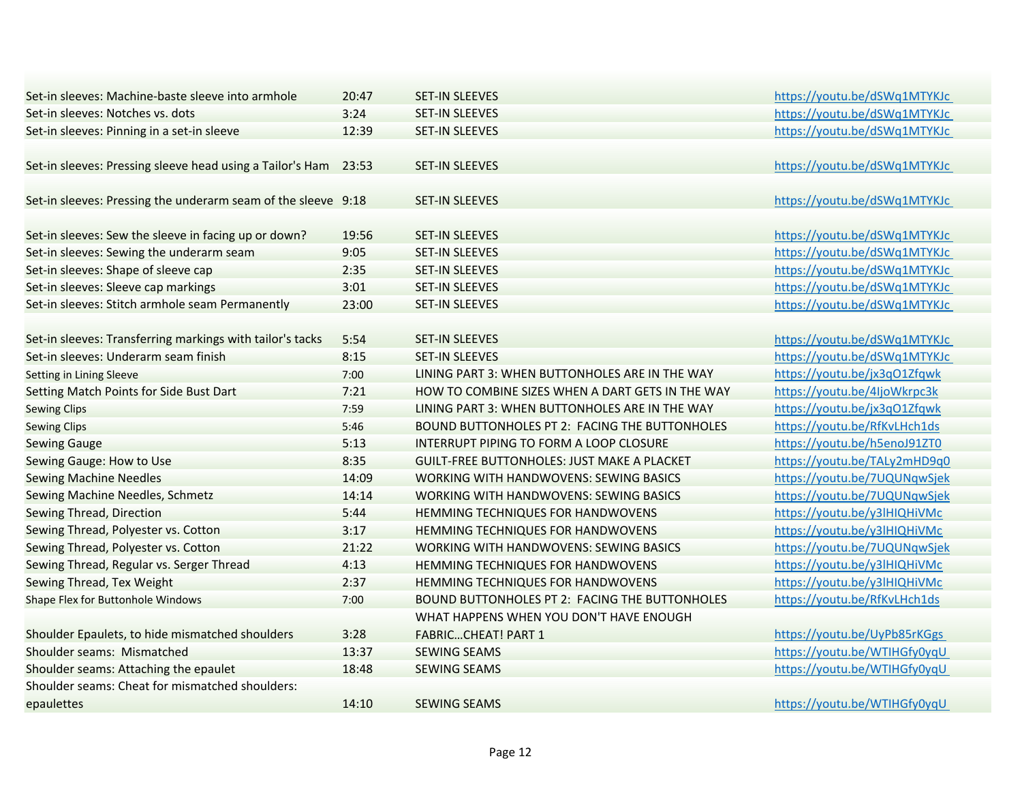| Set-in sleeves: Machine-baste sleeve into armhole             | 20:47 | <b>SET-IN SLEEVES</b>                              | https://youtu.be/dSWq1MTYKJc |
|---------------------------------------------------------------|-------|----------------------------------------------------|------------------------------|
| Set-in sleeves: Notches vs. dots                              | 3:24  | <b>SET-IN SLEEVES</b>                              | https://youtu.be/dSWq1MTYKJc |
| Set-in sleeves: Pinning in a set-in sleeve                    | 12:39 | <b>SET-IN SLEEVES</b>                              | https://youtu.be/dSWq1MTYKJc |
| Set-in sleeves: Pressing sleeve head using a Tailor's Ham     | 23:53 | <b>SET-IN SLEEVES</b>                              | https://youtu.be/dSWq1MTYKJc |
|                                                               |       |                                                    |                              |
| Set-in sleeves: Pressing the underarm seam of the sleeve 9:18 |       | <b>SET-IN SLEEVES</b>                              | https://youtu.be/dSWq1MTYKJc |
| Set-in sleeves: Sew the sleeve in facing up or down?          | 19:56 | <b>SET-IN SLEEVES</b>                              | https://youtu.be/dSWq1MTYKJc |
| Set-in sleeves: Sewing the underarm seam                      | 9:05  | <b>SET-IN SLEEVES</b>                              | https://youtu.be/dSWq1MTYKJc |
| Set-in sleeves: Shape of sleeve cap                           | 2:35  | <b>SET-IN SLEEVES</b>                              | https://youtu.be/dSWq1MTYKJc |
| Set-in sleeves: Sleeve cap markings                           | 3:01  | <b>SET-IN SLEEVES</b>                              | https://youtu.be/dSWq1MTYKJc |
| Set-in sleeves: Stitch armhole seam Permanently               | 23:00 | <b>SET-IN SLEEVES</b>                              | https://youtu.be/dSWq1MTYKJc |
| Set-in sleeves: Transferring markings with tailor's tacks     | 5:54  | <b>SET-IN SLEEVES</b>                              | https://youtu.be/dSWq1MTYKJc |
| Set-in sleeves: Underarm seam finish                          | 8:15  | <b>SET-IN SLEEVES</b>                              | https://youtu.be/dSWq1MTYKJc |
| Setting in Lining Sleeve                                      | 7:00  | LINING PART 3: WHEN BUTTONHOLES ARE IN THE WAY     | https://youtu.be/jx3qO1Zfqwk |
| Setting Match Points for Side Bust Dart                       | 7:21  | HOW TO COMBINE SIZES WHEN A DART GETS IN THE WAY   | https://youtu.be/4IjoWkrpc3k |
| <b>Sewing Clips</b>                                           | 7:59  | LINING PART 3: WHEN BUTTONHOLES ARE IN THE WAY     | https://youtu.be/jx3qO1Zfqwk |
| <b>Sewing Clips</b>                                           | 5:46  | BOUND BUTTONHOLES PT 2: FACING THE BUTTONHOLES     | https://youtu.be/RfKvLHch1ds |
| <b>Sewing Gauge</b>                                           | 5:13  | INTERRUPT PIPING TO FORM A LOOP CLOSURE            | https://youtu.be/h5enoJ91ZT0 |
| Sewing Gauge: How to Use                                      | 8:35  | <b>GUILT-FREE BUTTONHOLES: JUST MAKE A PLACKET</b> | https://youtu.be/TALy2mHD9q0 |
| <b>Sewing Machine Needles</b>                                 | 14:09 | WORKING WITH HANDWOVENS: SEWING BASICS             | https://youtu.be/7UQUNqwSjek |
| Sewing Machine Needles, Schmetz                               | 14:14 | <b>WORKING WITH HANDWOVENS: SEWING BASICS</b>      | https://youtu.be/7UQUNqwSjek |
| Sewing Thread, Direction                                      | 5:44  | <b>HEMMING TECHNIQUES FOR HANDWOVENS</b>           | https://youtu.be/y3lHIQHiVMc |
| Sewing Thread, Polyester vs. Cotton                           | 3:17  | <b>HEMMING TECHNIQUES FOR HANDWOVENS</b>           | https://youtu.be/y3lHIQHiVMc |
| Sewing Thread, Polyester vs. Cotton                           | 21:22 | WORKING WITH HANDWOVENS: SEWING BASICS             | https://youtu.be/7UQUNgwSjek |
| Sewing Thread, Regular vs. Serger Thread                      | 4:13  | <b>HEMMING TECHNIQUES FOR HANDWOVENS</b>           | https://youtu.be/y3lHIQHiVMc |
| Sewing Thread, Tex Weight                                     | 2:37  | HEMMING TECHNIQUES FOR HANDWOVENS                  | https://youtu.be/y3lHIQHiVMc |
| Shape Flex for Buttonhole Windows                             | 7:00  | BOUND BUTTONHOLES PT 2: FACING THE BUTTONHOLES     | https://youtu.be/RfKvLHch1ds |
|                                                               |       | WHAT HAPPENS WHEN YOU DON'T HAVE ENOUGH            |                              |
| Shoulder Epaulets, to hide mismatched shoulders               | 3:28  | <b>FABRICCHEAT! PART 1</b>                         | https://youtu.be/UyPb85rKGgs |
| Shoulder seams: Mismatched                                    | 13:37 | <b>SEWING SEAMS</b>                                | https://youtu.be/WTIHGfy0yqU |
| Shoulder seams: Attaching the epaulet                         | 18:48 | <b>SEWING SEAMS</b>                                | https://youtu.be/WTIHGfy0yqU |
| Shoulder seams: Cheat for mismatched shoulders:               |       |                                                    |                              |
| epaulettes                                                    | 14:10 | <b>SEWING SEAMS</b>                                | https://youtu.be/WTIHGfy0yqU |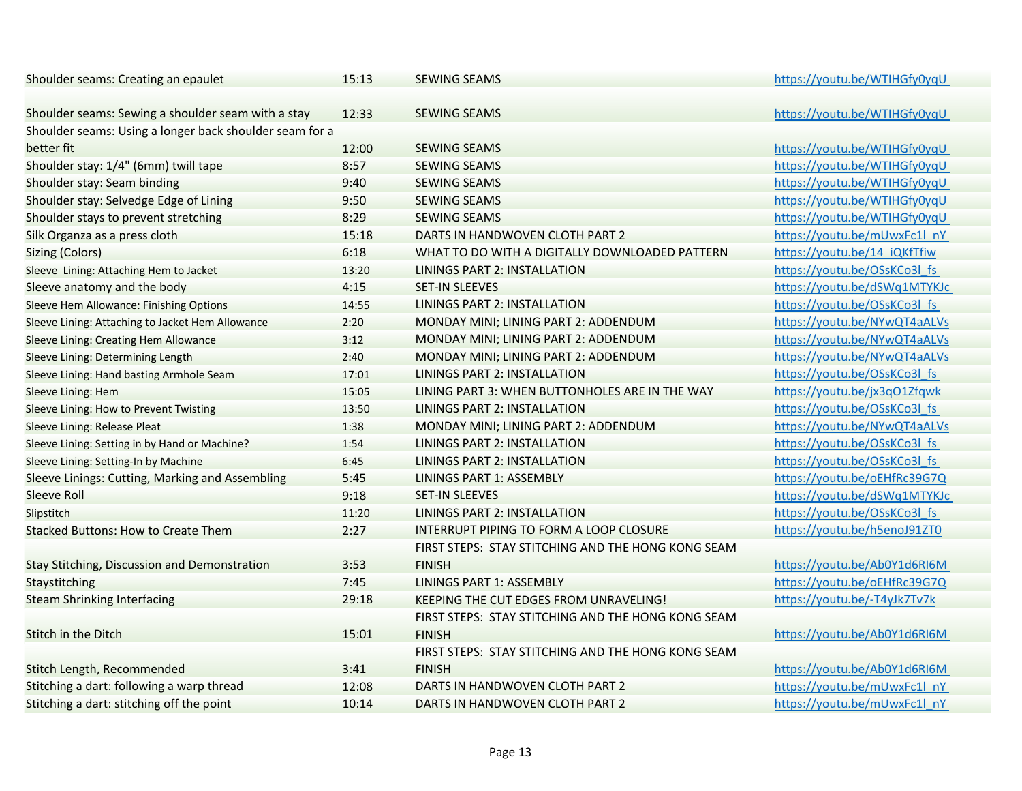| Shoulder seams: Creating an epaulet                     | 15:13 | <b>SEWING SEAMS</b>                                | https://youtu.be/WTIHGfy0yqU |
|---------------------------------------------------------|-------|----------------------------------------------------|------------------------------|
| Shoulder seams: Sewing a shoulder seam with a stay      | 12:33 | <b>SEWING SEAMS</b>                                | https://youtu.be/WTIHGfy0yqU |
| Shoulder seams: Using a longer back shoulder seam for a |       |                                                    |                              |
| better fit                                              | 12:00 | <b>SEWING SEAMS</b>                                | https://youtu.be/WTIHGfy0yqU |
| Shoulder stay: 1/4" (6mm) twill tape                    | 8:57  | <b>SEWING SEAMS</b>                                | https://youtu.be/WTIHGfy0yqU |
| Shoulder stay: Seam binding                             | 9:40  | <b>SEWING SEAMS</b>                                | https://youtu.be/WTIHGfy0yqU |
| Shoulder stay: Selvedge Edge of Lining                  | 9:50  | <b>SEWING SEAMS</b>                                | https://youtu.be/WTIHGfy0yqU |
| Shoulder stays to prevent stretching                    | 8:29  | <b>SEWING SEAMS</b>                                | https://youtu.be/WTIHGfy0yqU |
| Silk Organza as a press cloth                           | 15:18 | DARTS IN HANDWOVEN CLOTH PART 2                    | https://youtu.be/mUwxFc1l nY |
| <b>Sizing (Colors)</b>                                  | 6:18  | WHAT TO DO WITH A DIGITALLY DOWNLOADED PATTERN     | https://youtu.be/14 iQKfTfiw |
| Sleeve Lining: Attaching Hem to Jacket                  | 13:20 | <b>LININGS PART 2: INSTALLATION</b>                | https://youtu.be/OSsKCo3l fs |
| Sleeve anatomy and the body                             | 4:15  | <b>SET-IN SLEEVES</b>                              | https://youtu.be/dSWq1MTYKJc |
| Sleeve Hem Allowance: Finishing Options                 | 14:55 | LININGS PART 2: INSTALLATION                       | https://youtu.be/OSsKCo3l fs |
| Sleeve Lining: Attaching to Jacket Hem Allowance        | 2:20  | MONDAY MINI; LINING PART 2: ADDENDUM               | https://youtu.be/NYwQT4aALVs |
| Sleeve Lining: Creating Hem Allowance                   | 3:12  | MONDAY MINI; LINING PART 2: ADDENDUM               | https://youtu.be/NYwQT4aALVs |
| Sleeve Lining: Determining Length                       | 2:40  | MONDAY MINI; LINING PART 2: ADDENDUM               | https://youtu.be/NYwQT4aALVs |
| Sleeve Lining: Hand basting Armhole Seam                | 17:01 | LININGS PART 2: INSTALLATION                       | https://youtu.be/OSsKCo3l_fs |
| Sleeve Lining: Hem                                      | 15:05 | LINING PART 3: WHEN BUTTONHOLES ARE IN THE WAY     | https://youtu.be/jx3q01Zfqwk |
| Sleeve Lining: How to Prevent Twisting                  | 13:50 | <b>LININGS PART 2: INSTALLATION</b>                | https://youtu.be/OSsKCo3l fs |
| Sleeve Lining: Release Pleat                            | 1:38  | MONDAY MINI; LINING PART 2: ADDENDUM               | https://youtu.be/NYwQT4aALVs |
| Sleeve Lining: Setting in by Hand or Machine?           | 1:54  | LININGS PART 2: INSTALLATION                       | https://youtu.be/OSsKCo3l fs |
| Sleeve Lining: Setting-In by Machine                    | 6:45  | <b>LININGS PART 2: INSTALLATION</b>                | https://youtu.be/OSsKCo3l fs |
| Sleeve Linings: Cutting, Marking and Assembling         | 5:45  | LININGS PART 1: ASSEMBLY                           | https://youtu.be/oEHfRc39G7Q |
| <b>Sleeve Roll</b>                                      | 9:18  | <b>SET-IN SLEEVES</b>                              | https://youtu.be/dSWq1MTYKJc |
| Slipstitch                                              | 11:20 | LININGS PART 2: INSTALLATION                       | https://youtu.be/OSsKCo3l fs |
| <b>Stacked Buttons: How to Create Them</b>              | 2:27  | INTERRUPT PIPING TO FORM A LOOP CLOSURE            | https://youtu.be/h5enoJ91ZT0 |
|                                                         |       | FIRST STEPS: STAY STITCHING AND THE HONG KONG SEAM |                              |
| Stay Stitching, Discussion and Demonstration            | 3:53  | <b>FINISH</b>                                      | https://youtu.be/Ab0Y1d6RI6M |
| Staystitching                                           | 7:45  | <b>LININGS PART 1: ASSEMBLY</b>                    | https://youtu.be/oEHfRc39G7Q |
| <b>Steam Shrinking Interfacing</b>                      | 29:18 | KEEPING THE CUT EDGES FROM UNRAVELING!             | https://youtu.be/-T4yJk7Tv7k |
|                                                         |       | FIRST STEPS: STAY STITCHING AND THE HONG KONG SEAM |                              |
| Stitch in the Ditch                                     | 15:01 | <b>FINISH</b>                                      | https://youtu.be/Ab0Y1d6RI6M |
|                                                         |       | FIRST STEPS: STAY STITCHING AND THE HONG KONG SEAM |                              |
| Stitch Length, Recommended                              | 3:41  | <b>FINISH</b>                                      | https://youtu.be/Ab0Y1d6RI6M |
| Stitching a dart: following a warp thread               | 12:08 | DARTS IN HANDWOVEN CLOTH PART 2                    | https://youtu.be/mUwxFc1l nY |
| Stitching a dart: stitching off the point               | 10:14 | DARTS IN HANDWOVEN CLOTH PART 2                    | https://youtu.be/mUwxFc1l nY |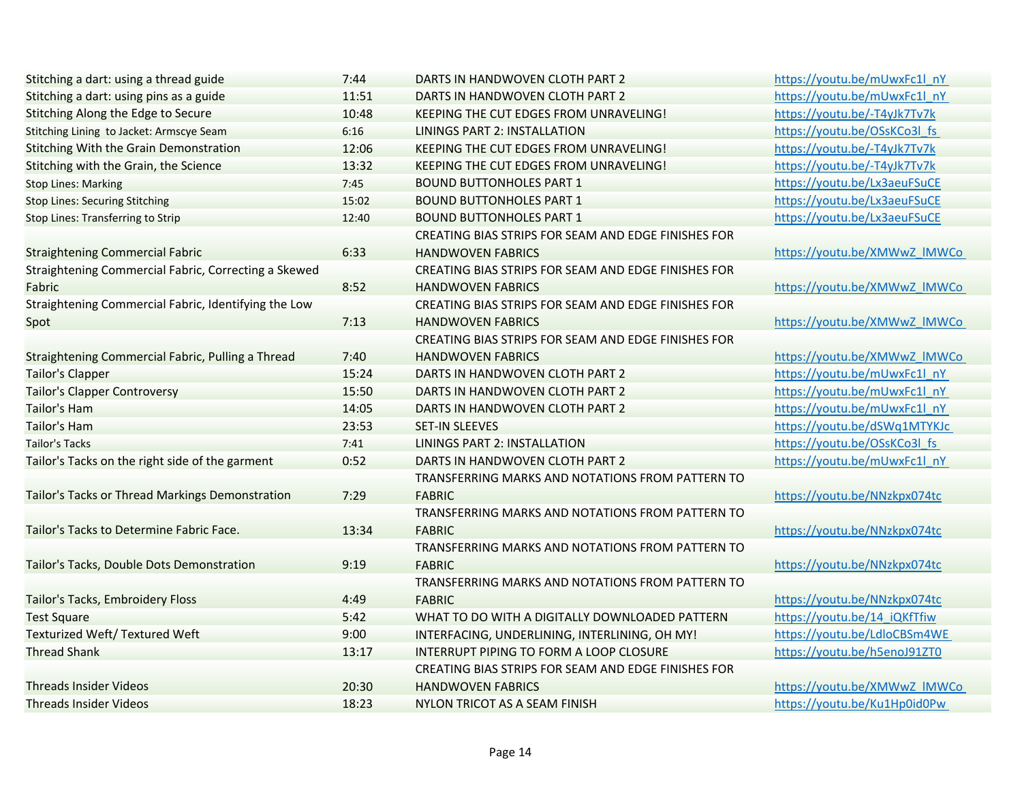| Stitching a dart: using a thread guide               | 7:44  | DARTS IN HANDWOVEN CLOTH PART 2                     | https://youtu.be/mUwxFc1l nY |
|------------------------------------------------------|-------|-----------------------------------------------------|------------------------------|
| Stitching a dart: using pins as a guide              | 11:51 | DARTS IN HANDWOVEN CLOTH PART 2                     | https://youtu.be/mUwxFc1l nY |
| Stitching Along the Edge to Secure                   | 10:48 | KEEPING THE CUT EDGES FROM UNRAVELING!              | https://youtu.be/-T4yJk7Tv7k |
| Stitching Lining to Jacket: Armscye Seam             | 6:16  | <b>LININGS PART 2: INSTALLATION</b>                 | https://youtu.be/OSsKCo3l fs |
| Stitching With the Grain Demonstration               | 12:06 | KEEPING THE CUT EDGES FROM UNRAVELING!              | https://youtu.be/-T4yJk7Tv7k |
| Stitching with the Grain, the Science                | 13:32 | KEEPING THE CUT EDGES FROM UNRAVELING!              | https://youtu.be/-T4yJk7Tv7k |
| <b>Stop Lines: Marking</b>                           | 7:45  | <b>BOUND BUTTONHOLES PART 1</b>                     | https://youtu.be/Lx3aeuFSuCE |
| <b>Stop Lines: Securing Stitching</b>                | 15:02 | <b>BOUND BUTTONHOLES PART 1</b>                     | https://youtu.be/Lx3aeuFSuCE |
| Stop Lines: Transferring to Strip                    | 12:40 | <b>BOUND BUTTONHOLES PART 1</b>                     | https://youtu.be/Lx3aeuFSuCE |
|                                                      |       | CREATING BIAS STRIPS FOR SEAM AND EDGE FINISHES FOR |                              |
| <b>Straightening Commercial Fabric</b>               | 6:33  | <b>HANDWOVEN FABRICS</b>                            | https://youtu.be/XMWwZ IMWCo |
| Straightening Commercial Fabric, Correcting a Skewed |       | CREATING BIAS STRIPS FOR SEAM AND EDGE FINISHES FOR |                              |
| Fabric                                               | 8:52  | <b>HANDWOVEN FABRICS</b>                            | https://youtu.be/XMWwZ IMWCo |
| Straightening Commercial Fabric, Identifying the Low |       | CREATING BIAS STRIPS FOR SEAM AND EDGE FINISHES FOR |                              |
| Spot                                                 | 7:13  | <b>HANDWOVEN FABRICS</b>                            | https://youtu.be/XMWwZ IMWCo |
|                                                      |       | CREATING BIAS STRIPS FOR SEAM AND EDGE FINISHES FOR |                              |
| Straightening Commercial Fabric, Pulling a Thread    | 7:40  | <b>HANDWOVEN FABRICS</b>                            | https://youtu.be/XMWwZ IMWCo |
| <b>Tailor's Clapper</b>                              | 15:24 | DARTS IN HANDWOVEN CLOTH PART 2                     | https://youtu.be/mUwxFc1l_nY |
| <b>Tailor's Clapper Controversy</b>                  | 15:50 | DARTS IN HANDWOVEN CLOTH PART 2                     | https://youtu.be/mUwxFc1l nY |
| <b>Tailor's Ham</b>                                  | 14:05 | DARTS IN HANDWOVEN CLOTH PART 2                     | https://youtu.be/mUwxFc1l nY |
| <b>Tailor's Ham</b>                                  | 23:53 | <b>SET-IN SLEEVES</b>                               | https://youtu.be/dSWq1MTYKJc |
| <b>Tailor's Tacks</b>                                | 7:41  | <b>LININGS PART 2: INSTALLATION</b>                 | https://youtu.be/OSsKCo3l fs |
| Tailor's Tacks on the right side of the garment      | 0:52  | DARTS IN HANDWOVEN CLOTH PART 2                     | https://youtu.be/mUwxFc1l nY |
|                                                      |       | TRANSFERRING MARKS AND NOTATIONS FROM PATTERN TO    |                              |
| Tailor's Tacks or Thread Markings Demonstration      | 7:29  | <b>FABRIC</b>                                       | https://youtu.be/NNzkpx074tc |
|                                                      |       | TRANSFERRING MARKS AND NOTATIONS FROM PATTERN TO    |                              |
| Tailor's Tacks to Determine Fabric Face.             | 13:34 | <b>FABRIC</b>                                       | https://youtu.be/NNzkpx074tc |
|                                                      |       | TRANSFERRING MARKS AND NOTATIONS FROM PATTERN TO    |                              |
| Tailor's Tacks, Double Dots Demonstration            | 9:19  | <b>FABRIC</b>                                       | https://youtu.be/NNzkpx074tc |
|                                                      |       | TRANSFERRING MARKS AND NOTATIONS FROM PATTERN TO    |                              |
| Tailor's Tacks, Embroidery Floss                     | 4:49  | <b>FABRIC</b>                                       | https://youtu.be/NNzkpx074tc |
| <b>Test Square</b>                                   | 5:42  | WHAT TO DO WITH A DIGITALLY DOWNLOADED PATTERN      | https://youtu.be/14 iQKfTfiw |
| <b>Texturized Weft/ Textured Weft</b>                | 9:00  | INTERFACING, UNDERLINING, INTERLINING, OH MY!       | https://youtu.be/LdloCBSm4WE |
| <b>Thread Shank</b>                                  | 13:17 | INTERRUPT PIPING TO FORM A LOOP CLOSURE             | https://youtu.be/h5enoJ91ZT0 |
|                                                      |       | CREATING BIAS STRIPS FOR SEAM AND EDGE FINISHES FOR |                              |
| <b>Threads Insider Videos</b>                        | 20:30 | <b>HANDWOVEN FABRICS</b>                            | https://youtu.be/XMWwZ IMWCo |
| <b>Threads Insider Videos</b>                        | 18:23 | NYLON TRICOT AS A SEAM FINISH                       | https://youtu.be/Ku1Hp0id0Pw |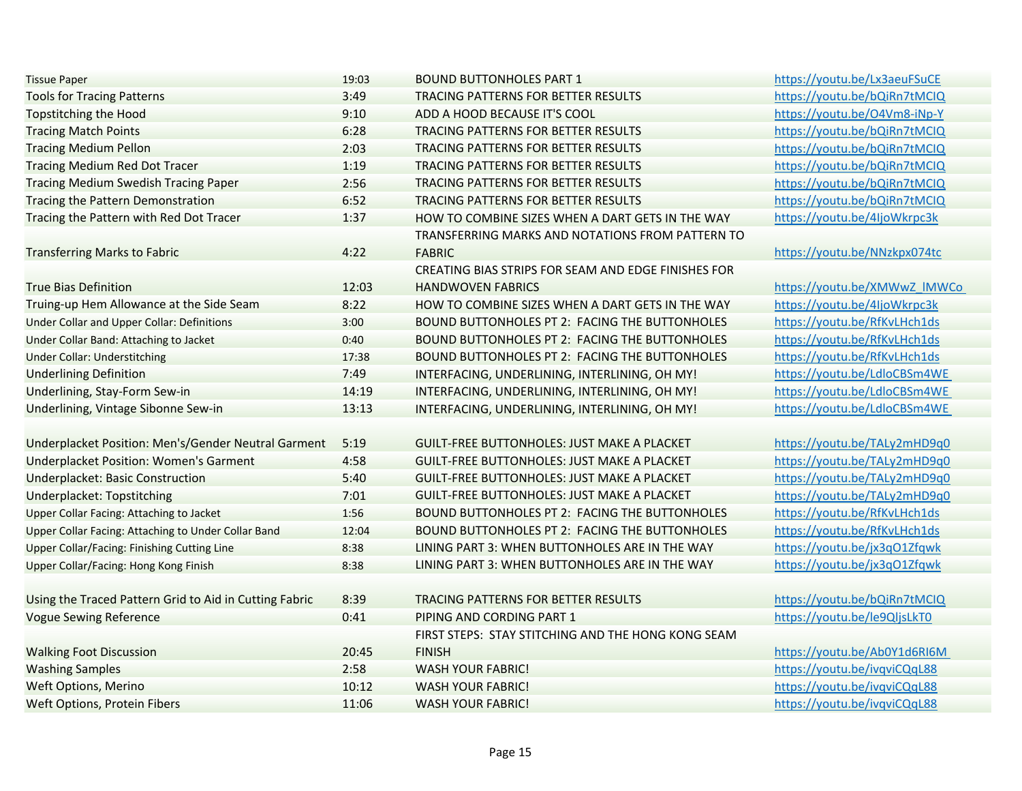| <b>Tissue Paper</b>                                    | 19:03 | <b>BOUND BUTTONHOLES PART 1</b>                     | https://youtu.be/Lx3aeuFSuCE |
|--------------------------------------------------------|-------|-----------------------------------------------------|------------------------------|
| <b>Tools for Tracing Patterns</b>                      | 3:49  | TRACING PATTERNS FOR BETTER RESULTS                 | https://youtu.be/bQiRn7tMCIQ |
| <b>Topstitching the Hood</b>                           | 9:10  | ADD A HOOD BECAUSE IT'S COOL                        | https://youtu.be/O4Vm8-iNp-Y |
| <b>Tracing Match Points</b>                            | 6:28  | TRACING PATTERNS FOR BETTER RESULTS                 | https://youtu.be/bQiRn7tMCIQ |
| <b>Tracing Medium Pellon</b>                           | 2:03  | TRACING PATTERNS FOR BETTER RESULTS                 | https://youtu.be/bQiRn7tMCIQ |
| <b>Tracing Medium Red Dot Tracer</b>                   | 1:19  | TRACING PATTERNS FOR BETTER RESULTS                 | https://youtu.be/bQiRn7tMCIQ |
| <b>Tracing Medium Swedish Tracing Paper</b>            | 2:56  | TRACING PATTERNS FOR BETTER RESULTS                 | https://youtu.be/bQiRn7tMCIQ |
| Tracing the Pattern Demonstration                      | 6:52  | TRACING PATTERNS FOR BETTER RESULTS                 | https://youtu.be/bQiRn7tMCIQ |
| Tracing the Pattern with Red Dot Tracer                | 1:37  | HOW TO COMBINE SIZES WHEN A DART GETS IN THE WAY    | https://youtu.be/4IjoWkrpc3k |
|                                                        |       | TRANSFERRING MARKS AND NOTATIONS FROM PATTERN TO    |                              |
| <b>Transferring Marks to Fabric</b>                    | 4:22  | <b>FABRIC</b>                                       | https://youtu.be/NNzkpx074tc |
|                                                        |       | CREATING BIAS STRIPS FOR SEAM AND EDGE FINISHES FOR |                              |
| <b>True Bias Definition</b>                            | 12:03 | <b>HANDWOVEN FABRICS</b>                            | https://youtu.be/XMWwZ IMWCo |
| Truing-up Hem Allowance at the Side Seam               | 8:22  | HOW TO COMBINE SIZES WHEN A DART GETS IN THE WAY    | https://youtu.be/4IjoWkrpc3k |
| <b>Under Collar and Upper Collar: Definitions</b>      | 3:00  | BOUND BUTTONHOLES PT 2: FACING THE BUTTONHOLES      | https://youtu.be/RfKvLHch1ds |
| Under Collar Band: Attaching to Jacket                 | 0:40  | BOUND BUTTONHOLES PT 2: FACING THE BUTTONHOLES      | https://youtu.be/RfKvLHch1ds |
| <b>Under Collar: Understitching</b>                    | 17:38 | BOUND BUTTONHOLES PT 2: FACING THE BUTTONHOLES      | https://youtu.be/RfKvLHch1ds |
| <b>Underlining Definition</b>                          | 7:49  | INTERFACING, UNDERLINING, INTERLINING, OH MY!       | https://youtu.be/LdloCBSm4WE |
| Underlining, Stay-Form Sew-in                          | 14:19 | INTERFACING, UNDERLINING, INTERLINING, OH MY!       | https://youtu.be/LdloCBSm4WE |
| Underlining, Vintage Sibonne Sew-in                    | 13:13 | INTERFACING, UNDERLINING, INTERLINING, OH MY!       | https://youtu.be/LdloCBSm4WE |
|                                                        |       |                                                     |                              |
| Underplacket Position: Men's/Gender Neutral Garment    | 5:19  | <b>GUILT-FREE BUTTONHOLES: JUST MAKE A PLACKET</b>  | https://youtu.be/TALy2mHD9q0 |
| <b>Underplacket Position: Women's Garment</b>          | 4:58  | <b>GUILT-FREE BUTTONHOLES: JUST MAKE A PLACKET</b>  | https://youtu.be/TALy2mHD9q0 |
| <b>Underplacket: Basic Construction</b>                | 5:40  | GUILT-FREE BUTTONHOLES: JUST MAKE A PLACKET         | https://youtu.be/TALy2mHD9q0 |
| Underplacket: Topstitching                             | 7:01  | <b>GUILT-FREE BUTTONHOLES: JUST MAKE A PLACKET</b>  | https://youtu.be/TALy2mHD9q0 |
| <b>Upper Collar Facing: Attaching to Jacket</b>        | 1:56  | BOUND BUTTONHOLES PT 2: FACING THE BUTTONHOLES      | https://youtu.be/RfKvLHch1ds |
| Upper Collar Facing: Attaching to Under Collar Band    | 12:04 | BOUND BUTTONHOLES PT 2: FACING THE BUTTONHOLES      | https://youtu.be/RfKvLHch1ds |
| <b>Upper Collar/Facing: Finishing Cutting Line</b>     | 8:38  | LINING PART 3: WHEN BUTTONHOLES ARE IN THE WAY      | https://youtu.be/jx3qO1Zfqwk |
| Upper Collar/Facing: Hong Kong Finish                  | 8:38  | LINING PART 3: WHEN BUTTONHOLES ARE IN THE WAY      | https://youtu.be/jx3qO1Zfqwk |
|                                                        |       |                                                     |                              |
| Using the Traced Pattern Grid to Aid in Cutting Fabric | 8:39  | TRACING PATTERNS FOR BETTER RESULTS                 | https://youtu.be/bQiRn7tMCIQ |
| <b>Vogue Sewing Reference</b>                          | 0:41  | PIPING AND CORDING PART 1                           | https://youtu.be/le9QljsLkT0 |
|                                                        |       | FIRST STEPS: STAY STITCHING AND THE HONG KONG SEAM  |                              |
| <b>Walking Foot Discussion</b>                         | 20:45 | <b>FINISH</b>                                       | https://youtu.be/Ab0Y1d6RI6M |
| <b>Washing Samples</b>                                 | 2:58  | <b>WASH YOUR FABRIC!</b>                            | https://youtu.be/ivqviCQqL88 |
| <b>Weft Options, Merino</b>                            | 10:12 | <b>WASH YOUR FABRIC!</b>                            | https://youtu.be/ivqviCQqL88 |
| <b>Weft Options, Protein Fibers</b>                    | 11:06 | <b>WASH YOUR FABRIC!</b>                            | https://youtu.be/ivqviCQqL88 |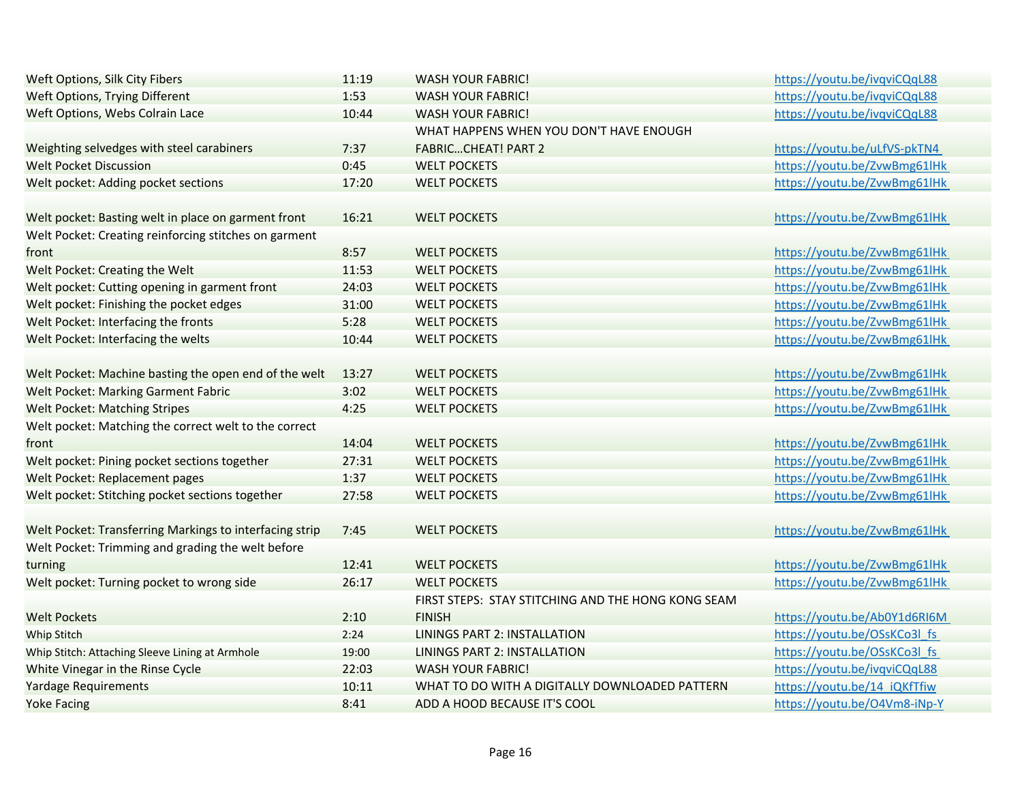| Weft Options, Silk City Fibers                          | 11:19 | <b>WASH YOUR FABRIC!</b>                           | https://youtu.be/ivqviCQqL88 |
|---------------------------------------------------------|-------|----------------------------------------------------|------------------------------|
| Weft Options, Trying Different                          | 1:53  | <b>WASH YOUR FABRIC!</b>                           | https://youtu.be/ivqviCQqL88 |
| Weft Options, Webs Colrain Lace                         | 10:44 | <b>WASH YOUR FABRIC!</b>                           | https://youtu.be/ivqviCQqL88 |
|                                                         |       | WHAT HAPPENS WHEN YOU DON'T HAVE ENOUGH            |                              |
| Weighting selvedges with steel carabiners               | 7:37  | <b>FABRICCHEAT! PART 2</b>                         | https://youtu.be/uLfVS-pkTN4 |
| <b>Welt Pocket Discussion</b>                           | 0:45  | <b>WELT POCKETS</b>                                | https://youtu.be/ZvwBmg61lHk |
| Welt pocket: Adding pocket sections                     | 17:20 | <b>WELT POCKETS</b>                                | https://youtu.be/ZvwBmg61lHk |
| Welt pocket: Basting welt in place on garment front     | 16:21 | <b>WELT POCKETS</b>                                | https://youtu.be/ZvwBmg61lHk |
| Welt Pocket: Creating reinforcing stitches on garment   |       |                                                    |                              |
| front                                                   | 8:57  | <b>WELT POCKETS</b>                                | https://youtu.be/ZvwBmg61lHk |
| Welt Pocket: Creating the Welt                          | 11:53 | <b>WELT POCKETS</b>                                | https://youtu.be/ZvwBmg61lHk |
| Welt pocket: Cutting opening in garment front           | 24:03 | <b>WELT POCKETS</b>                                | https://youtu.be/ZvwBmg61lHk |
| Welt pocket: Finishing the pocket edges                 | 31:00 | <b>WELT POCKETS</b>                                | https://youtu.be/ZvwBmg61lHk |
| Welt Pocket: Interfacing the fronts                     | 5:28  | <b>WELT POCKETS</b>                                | https://youtu.be/ZvwBmg61lHk |
| Welt Pocket: Interfacing the welts                      | 10:44 | <b>WELT POCKETS</b>                                | https://youtu.be/ZvwBmg61lHk |
| Welt Pocket: Machine basting the open end of the welt   | 13:27 | <b>WELT POCKETS</b>                                | https://youtu.be/ZvwBmg61lHk |
| Welt Pocket: Marking Garment Fabric                     | 3:02  | <b>WELT POCKETS</b>                                | https://youtu.be/ZvwBmg61lHk |
| <b>Welt Pocket: Matching Stripes</b>                    | 4:25  | <b>WELT POCKETS</b>                                | https://youtu.be/ZvwBmg61lHk |
| Welt pocket: Matching the correct welt to the correct   |       |                                                    |                              |
| front                                                   | 14:04 | <b>WELT POCKETS</b>                                | https://youtu.be/ZvwBmg61lHk |
| Welt pocket: Pining pocket sections together            | 27:31 | <b>WELT POCKETS</b>                                | https://youtu.be/ZvwBmg61lHk |
| Welt Pocket: Replacement pages                          | 1:37  | <b>WELT POCKETS</b>                                | https://youtu.be/ZvwBmg61lHk |
| Welt pocket: Stitching pocket sections together         | 27:58 | <b>WELT POCKETS</b>                                | https://youtu.be/ZvwBmg61lHk |
| Welt Pocket: Transferring Markings to interfacing strip | 7:45  | <b>WELT POCKETS</b>                                | https://youtu.be/ZvwBmg61lHk |
| Welt Pocket: Trimming and grading the welt before       |       |                                                    |                              |
| turning                                                 | 12:41 | <b>WELT POCKETS</b>                                | https://youtu.be/ZvwBmg61lHk |
| Welt pocket: Turning pocket to wrong side               | 26:17 | <b>WELT POCKETS</b>                                | https://youtu.be/ZvwBmg61lHk |
|                                                         |       | FIRST STEPS: STAY STITCHING AND THE HONG KONG SEAM |                              |
| <b>Welt Pockets</b>                                     | 2:10  | <b>FINISH</b>                                      | https://youtu.be/Ab0Y1d6RI6M |
| <b>Whip Stitch</b>                                      | 2:24  | <b>LININGS PART 2: INSTALLATION</b>                | https://youtu.be/OSsKCo3l fs |
| Whip Stitch: Attaching Sleeve Lining at Armhole         | 19:00 | <b>LININGS PART 2: INSTALLATION</b>                | https://youtu.be/OSsKCo3l fs |
| White Vinegar in the Rinse Cycle                        | 22:03 | <b>WASH YOUR FABRIC!</b>                           | https://youtu.be/ivqviCQqL88 |
| <b>Yardage Requirements</b>                             | 10:11 | WHAT TO DO WITH A DIGITALLY DOWNLOADED PATTERN     | https://youtu.be/14 iQKfTfiw |
| <b>Yoke Facing</b>                                      | 8:41  | ADD A HOOD BECAUSE IT'S COOL                       | https://youtu.be/O4Vm8-iNp-Y |